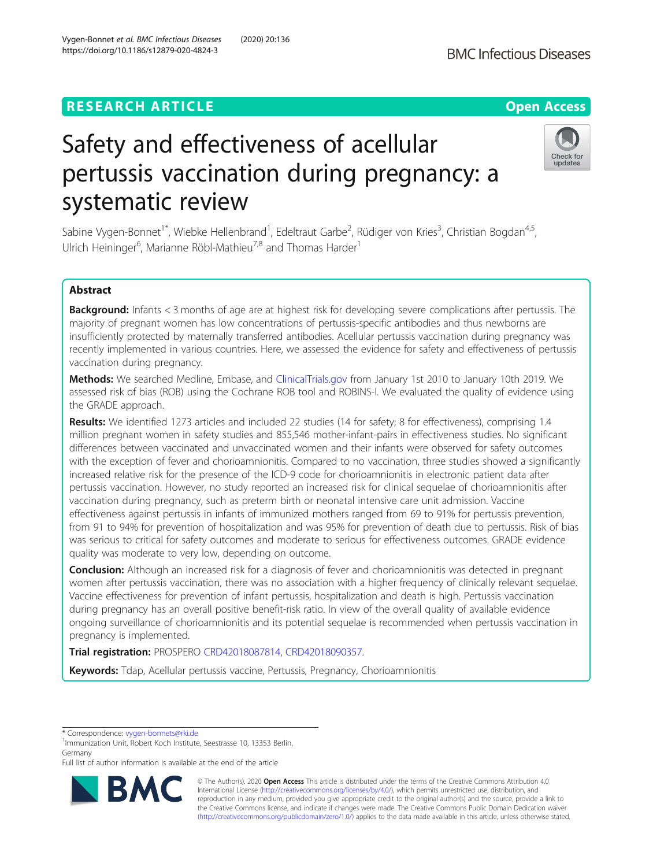# **RESEARCH ARTICLE Example 2014 12:30 The Contract of Contract ACCESS**

# Safety and effectiveness of acellular pertussis vaccination during pregnancy: a systematic review

Sabine Vygen-Bonnet<sup>1\*</sup>, Wiebke Hellenbrand<sup>1</sup>, Edeltraut Garbe<sup>2</sup>, Rüdiger von Kries<sup>3</sup>, Christian Bogdan<sup>4,5</sup>, Ulrich Heininger<sup>6</sup>, Marianne Röbl-Mathieu<sup>7,8</sup> and Thomas Harder<sup>1</sup>

# Abstract

**Background:** Infants < 3 months of age are at highest risk for developing severe complications after pertussis. The majority of pregnant women has low concentrations of pertussis-specific antibodies and thus newborns are insufficiently protected by maternally transferred antibodies. Acellular pertussis vaccination during pregnancy was recently implemented in various countries. Here, we assessed the evidence for safety and effectiveness of pertussis vaccination during pregnancy.

Methods: We searched Medline, Embase, and [ClinicalTrials.gov](http://clinicaltrials.gov) from January 1st 2010 to January 10th 2019. We assessed risk of bias (ROB) using the Cochrane ROB tool and ROBINS-I. We evaluated the quality of evidence using the GRADE approach.

Results: We identified 1273 articles and included 22 studies (14 for safety; 8 for effectiveness), comprising 1.4 million pregnant women in safety studies and 855,546 mother-infant-pairs in effectiveness studies. No significant differences between vaccinated and unvaccinated women and their infants were observed for safety outcomes with the exception of fever and chorioamnionitis. Compared to no vaccination, three studies showed a significantly increased relative risk for the presence of the ICD-9 code for chorioamnionitis in electronic patient data after pertussis vaccination. However, no study reported an increased risk for clinical sequelae of chorioamnionitis after vaccination during pregnancy, such as preterm birth or neonatal intensive care unit admission. Vaccine effectiveness against pertussis in infants of immunized mothers ranged from 69 to 91% for pertussis prevention, from 91 to 94% for prevention of hospitalization and was 95% for prevention of death due to pertussis. Risk of bias was serious to critical for safety outcomes and moderate to serious for effectiveness outcomes. GRADE evidence quality was moderate to very low, depending on outcome.

**Conclusion:** Although an increased risk for a diagnosis of fever and chorioamnionitis was detected in pregnant women after pertussis vaccination, there was no association with a higher frequency of clinically relevant sequelae. Vaccine effectiveness for prevention of infant pertussis, hospitalization and death is high. Pertussis vaccination during pregnancy has an overall positive benefit-risk ratio. In view of the overall quality of available evidence ongoing surveillance of chorioamnionitis and its potential sequelae is recommended when pertussis vaccination in pregnancy is implemented.

Trial registration: PROSPERO [CRD42018087814,](https://www.crd.york.ac.uk/PROSPERO/display_record.php?RecordID=87814) [CRD42018090357](https://www.crd.york.ac.uk/PROSPERO/display_record.php?RecordID=90357).

Keywords: Tdap, Acellular pertussis vaccine, Pertussis, Pregnancy, Chorioamnionitis

\* Correspondence: [vygen-bonnets@rki.de](mailto:vygen-bonnets@rki.de) <sup>1</sup>

<sup>1</sup>Immunization Unit, Robert Koch Institute, Seestrasse 10, 13353 Berlin, Germany

Full list of author information is available at the end of the article

© The Author(s). 2020 **Open Access** This article is distributed under the terms of the Creative Commons Attribution 4.0 International License [\(http://creativecommons.org/licenses/by/4.0/](http://creativecommons.org/licenses/by/4.0/)), which permits unrestricted use, distribution, and reproduction in any medium, provided you give appropriate credit to the original author(s) and the source, provide a link to the Creative Commons license, and indicate if changes were made. The Creative Commons Public Domain Dedication waiver [\(http://creativecommons.org/publicdomain/zero/1.0/](http://creativecommons.org/publicdomain/zero/1.0/)) applies to the data made available in this article, unless otherwise stated.



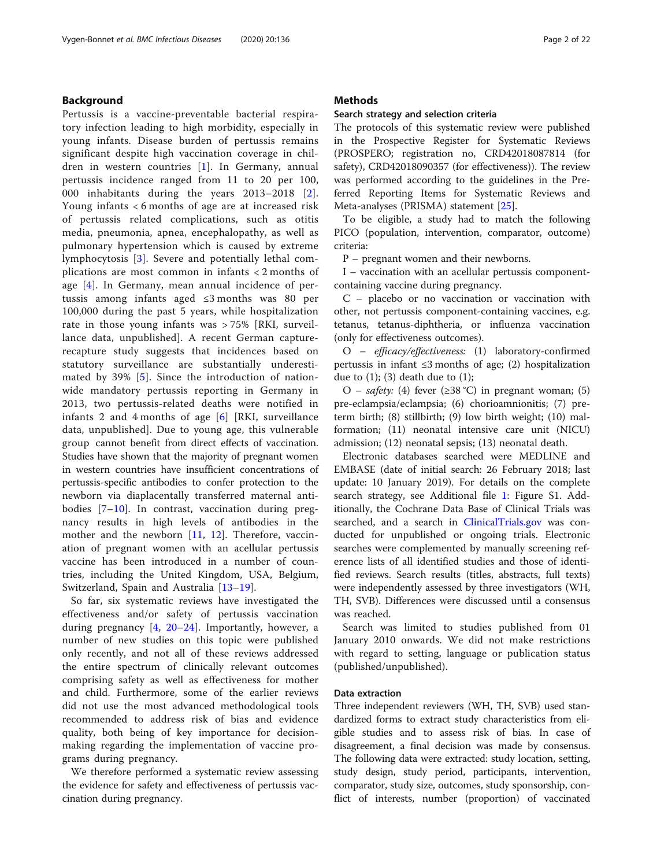# Background

Pertussis is a vaccine-preventable bacterial respiratory infection leading to high morbidity, especially in young infants. Disease burden of pertussis remains significant despite high vaccination coverage in children in western countries [[1\]](#page-19-0). In Germany, annual pertussis incidence ranged from 11 to 20 per 100, 000 inhabitants during the years 2013–2018 [[2](#page-19-0)]. Young infants < 6 months of age are at increased risk of pertussis related complications, such as otitis media, pneumonia, apnea, encephalopathy, as well as pulmonary hypertension which is caused by extreme lymphocytosis [[3\]](#page-19-0). Severe and potentially lethal complications are most common in infants < 2 months of age [[4\]](#page-19-0). In Germany, mean annual incidence of pertussis among infants aged ≤3 months was 80 per 100,000 during the past 5 years, while hospitalization rate in those young infants was > 75% [RKI, surveillance data, unpublished]. A recent German capturerecapture study suggests that incidences based on statutory surveillance are substantially underestimated by 39% [[5\]](#page-19-0). Since the introduction of nationwide mandatory pertussis reporting in Germany in 2013, two pertussis-related deaths were notified in infants 2 and 4 months of age [\[6](#page-19-0)] [RKI, surveillance data, unpublished]. Due to young age, this vulnerable group cannot benefit from direct effects of vaccination. Studies have shown that the majority of pregnant women in western countries have insufficient concentrations of pertussis-specific antibodies to confer protection to the newborn via diaplacentally transferred maternal antibodies [[7](#page-19-0)–[10\]](#page-19-0). In contrast, vaccination during pregnancy results in high levels of antibodies in the mother and the newborn [[11,](#page-20-0) [12](#page-20-0)]. Therefore, vaccination of pregnant women with an acellular pertussis vaccine has been introduced in a number of countries, including the United Kingdom, USA, Belgium, Switzerland, Spain and Australia [\[13](#page-20-0)–[19](#page-20-0)].

So far, six systematic reviews have investigated the effectiveness and/or safety of pertussis vaccination during pregnancy [[4,](#page-19-0) [20](#page-20-0)–[24\]](#page-20-0). Importantly, however, a number of new studies on this topic were published only recently, and not all of these reviews addressed the entire spectrum of clinically relevant outcomes comprising safety as well as effectiveness for mother and child. Furthermore, some of the earlier reviews did not use the most advanced methodological tools recommended to address risk of bias and evidence quality, both being of key importance for decisionmaking regarding the implementation of vaccine programs during pregnancy.

We therefore performed a systematic review assessing the evidence for safety and effectiveness of pertussis vaccination during pregnancy.

# **Methods**

#### Search strategy and selection criteria

The protocols of this systematic review were published in the Prospective Register for Systematic Reviews (PROSPERO; registration no, CRD42018087814 (for safety), CRD42018090357 (for effectiveness)). The review was performed according to the guidelines in the Preferred Reporting Items for Systematic Reviews and Meta-analyses (PRISMA) statement [[25\]](#page-20-0).

To be eligible, a study had to match the following PICO (population, intervention, comparator, outcome) criteria:

P – pregnant women and their newborns.

I – vaccination with an acellular pertussis componentcontaining vaccine during pregnancy.

C – placebo or no vaccination or vaccination with other, not pertussis component-containing vaccines, e.g. tetanus, tetanus-diphtheria, or influenza vaccination (only for effectiveness outcomes).

O – efficacy/effectiveness: (1) laboratory-confirmed pertussis in infant ≤3 months of age; (2) hospitalization due to  $(1)$ ;  $(3)$  death due to  $(1)$ ;

O – *safety*: (4) fever ( $\geq$ 38 °C) in pregnant woman; (5) pre-eclampsia/eclampsia; (6) chorioamnionitis; (7) preterm birth; (8) stillbirth; (9) low birth weight; (10) malformation; (11) neonatal intensive care unit (NICU) admission; (12) neonatal sepsis; (13) neonatal death.

Electronic databases searched were MEDLINE and EMBASE (date of initial search: 26 February 2018; last update: 10 January 2019). For details on the complete search strategy, see Additional file [1:](#page-19-0) Figure S1. Additionally, the Cochrane Data Base of Clinical Trials was searched, and a search in [ClinicalTrials.gov](http://clinicaltrials.gov) was conducted for unpublished or ongoing trials. Electronic searches were complemented by manually screening reference lists of all identified studies and those of identified reviews. Search results (titles, abstracts, full texts) were independently assessed by three investigators (WH, TH, SVB). Differences were discussed until a consensus was reached.

Search was limited to studies published from 01 January 2010 onwards. We did not make restrictions with regard to setting, language or publication status (published/unpublished).

# Data extraction

Three independent reviewers (WH, TH, SVB) used standardized forms to extract study characteristics from eligible studies and to assess risk of bias. In case of disagreement, a final decision was made by consensus. The following data were extracted: study location, setting, study design, study period, participants, intervention, comparator, study size, outcomes, study sponsorship, conflict of interests, number (proportion) of vaccinated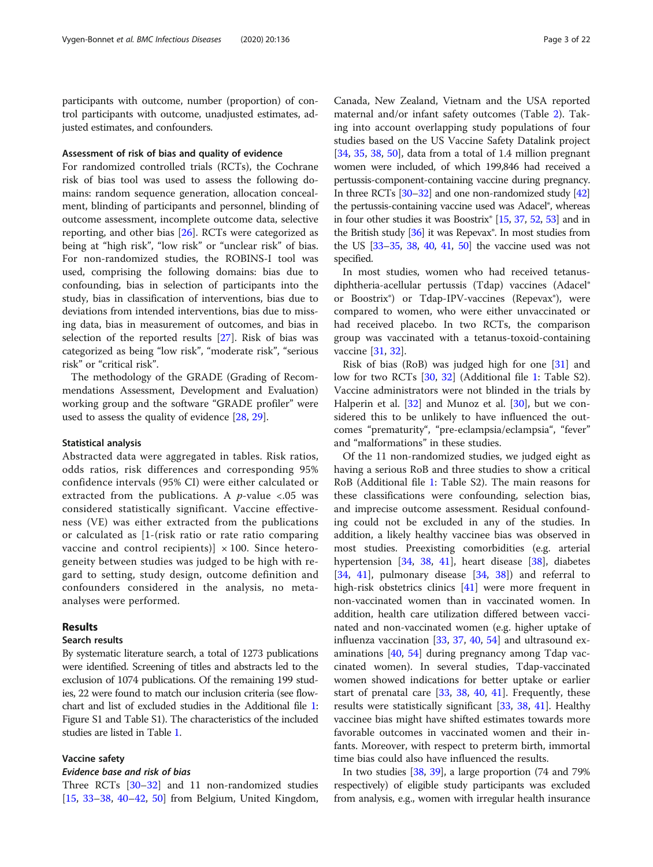participants with outcome, number (proportion) of control participants with outcome, unadjusted estimates, adjusted estimates, and confounders.

# Assessment of risk of bias and quality of evidence

For randomized controlled trials (RCTs), the Cochrane risk of bias tool was used to assess the following domains: random sequence generation, allocation concealment, blinding of participants and personnel, blinding of outcome assessment, incomplete outcome data, selective reporting, and other bias [[26](#page-20-0)]. RCTs were categorized as being at "high risk", "low risk" or "unclear risk" of bias. For non-randomized studies, the ROBINS-I tool was used, comprising the following domains: bias due to confounding, bias in selection of participants into the study, bias in classification of interventions, bias due to deviations from intended interventions, bias due to missing data, bias in measurement of outcomes, and bias in selection of the reported results [[27\]](#page-20-0). Risk of bias was categorized as being "low risk", "moderate risk", "serious risk" or "critical risk".

The methodology of the GRADE (Grading of Recommendations Assessment, Development and Evaluation) working group and the software "GRADE profiler" were used to assess the quality of evidence [\[28,](#page-20-0) [29\]](#page-20-0).

#### Statistical analysis

Abstracted data were aggregated in tables. Risk ratios, odds ratios, risk differences and corresponding 95% confidence intervals (95% CI) were either calculated or extracted from the publications. A  $p$ -value <.05 was considered statistically significant. Vaccine effectiveness (VE) was either extracted from the publications or calculated as [1-(risk ratio or rate ratio comparing vaccine and control recipients)  $\times$  100. Since heterogeneity between studies was judged to be high with regard to setting, study design, outcome definition and confounders considered in the analysis, no metaanalyses were performed.

## Results

## Search results

By systematic literature search, a total of 1273 publications were identified. Screening of titles and abstracts led to the exclusion of 1074 publications. Of the remaining 199 studies, 22 were found to match our inclusion criteria (see flowchart and list of excluded studies in the Additional file [1](#page-19-0): Figure S1 and Table S1). The characteristics of the included studies are listed in Table [1.](#page-3-0)

#### Vaccine safety

# Evidence base and risk of bias

Three RCTs [\[30](#page-20-0)–[32\]](#page-20-0) and 11 non-randomized studies [[15,](#page-20-0) [33](#page-20-0)–[38](#page-20-0), [40](#page-20-0)–[42,](#page-20-0) [50\]](#page-20-0) from Belgium, United Kingdom,

Canada, New Zealand, Vietnam and the USA reported maternal and/or infant safety outcomes (Table [2\)](#page-9-0). Taking into account overlapping study populations of four studies based on the US Vaccine Safety Datalink project [[34,](#page-20-0) [35,](#page-20-0) [38,](#page-20-0) [50](#page-20-0)], data from a total of 1.4 million pregnant women were included, of which 199,846 had received a pertussis-component-containing vaccine during pregnancy. In three RCTs [[30](#page-20-0)–[32](#page-20-0)] and one non-randomized study [\[42](#page-20-0)] the pertussis-containing vaccine used was Adacel®, whereas in four other studies it was Boostrix® [\[15](#page-20-0), [37,](#page-20-0) [52](#page-20-0), [53](#page-21-0)] and in the British study  $[36]$  it was Repevax<sup>®</sup>. In most studies from the US [\[33](#page-20-0)–[35,](#page-20-0) [38,](#page-20-0) [40](#page-20-0), [41,](#page-20-0) [50\]](#page-20-0) the vaccine used was not specified.

In most studies, women who had received tetanusdiphtheria-acellular pertussis (Tdap) vaccines (Adacel® or Boostrix®) or Tdap-IPV-vaccines (Repevax®), were compared to women, who were either unvaccinated or had received placebo. In two RCTs, the comparison group was vaccinated with a tetanus-toxoid-containing vaccine [[31,](#page-20-0) [32\]](#page-20-0).

Risk of bias (RoB) was judged high for one [\[31](#page-20-0)] and low for two RCTs [\[30](#page-20-0), [32\]](#page-20-0) (Additional file [1:](#page-19-0) Table S2). Vaccine administrators were not blinded in the trials by Halperin et al.  $[32]$  $[32]$  and Munoz et al.  $[30]$  $[30]$ , but we considered this to be unlikely to have influenced the outcomes "prematurity", "pre-eclampsia/eclampsia", "fever" and "malformations" in these studies.

Of the 11 non-randomized studies, we judged eight as having a serious RoB and three studies to show a critical RoB (Additional file [1:](#page-19-0) Table S2). The main reasons for these classifications were confounding, selection bias, and imprecise outcome assessment. Residual confounding could not be excluded in any of the studies. In addition, a likely healthy vaccinee bias was observed in most studies. Preexisting comorbidities (e.g. arterial hypertension [\[34,](#page-20-0) [38](#page-20-0), [41\]](#page-20-0), heart disease [[38\]](#page-20-0), diabetes [[34,](#page-20-0) [41\]](#page-20-0), pulmonary disease  $[34, 38]$  $[34, 38]$  $[34, 38]$  and referral to high-risk obstetrics clinics [\[41](#page-20-0)] were more frequent in non-vaccinated women than in vaccinated women. In addition, health care utilization differed between vaccinated and non-vaccinated women (e.g. higher uptake of influenza vaccination [\[33,](#page-20-0) [37](#page-20-0), [40](#page-20-0), [54\]](#page-21-0) and ultrasound examinations [[40](#page-20-0), [54](#page-21-0)] during pregnancy among Tdap vaccinated women). In several studies, Tdap-vaccinated women showed indications for better uptake or earlier start of prenatal care [\[33](#page-20-0), [38](#page-20-0), [40](#page-20-0), [41](#page-20-0)]. Frequently, these results were statistically significant [\[33,](#page-20-0) [38,](#page-20-0) [41\]](#page-20-0). Healthy vaccinee bias might have shifted estimates towards more favorable outcomes in vaccinated women and their infants. Moreover, with respect to preterm birth, immortal time bias could also have influenced the results.

In two studies [\[38,](#page-20-0) [39\]](#page-20-0), a large proportion (74 and 79% respectively) of eligible study participants was excluded from analysis, e.g., women with irregular health insurance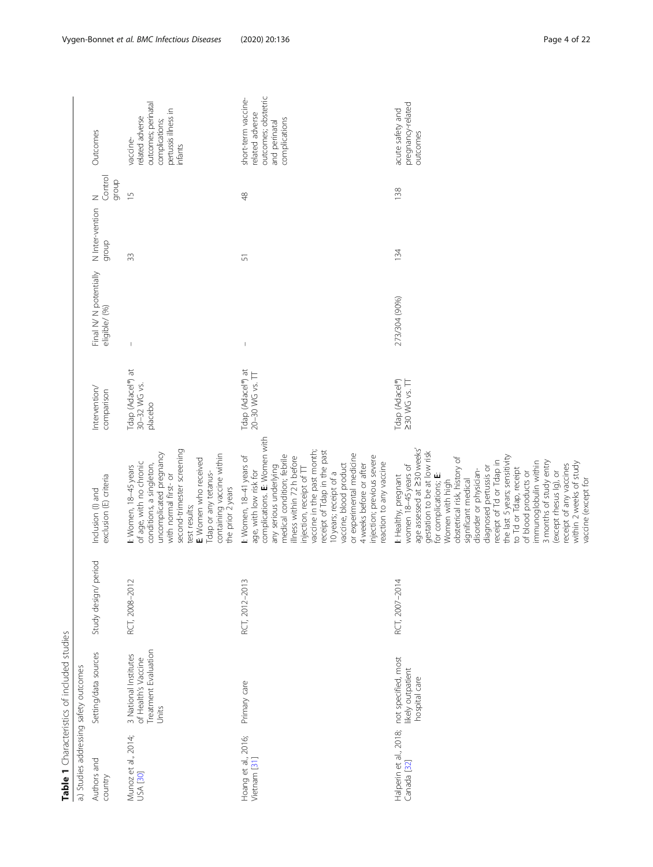<span id="page-3-0"></span>

|                                       | Table 1 Characteristics of included studies                                   |                         |                                                                                                                                                                                                                                                                                                                                                                                                                                                                                                                                            |                                              |                                        |                          |                                    |                                                                                                        |
|---------------------------------------|-------------------------------------------------------------------------------|-------------------------|--------------------------------------------------------------------------------------------------------------------------------------------------------------------------------------------------------------------------------------------------------------------------------------------------------------------------------------------------------------------------------------------------------------------------------------------------------------------------------------------------------------------------------------------|----------------------------------------------|----------------------------------------|--------------------------|------------------------------------|--------------------------------------------------------------------------------------------------------|
|                                       | a.) Studies addressing safety outcomes                                        |                         |                                                                                                                                                                                                                                                                                                                                                                                                                                                                                                                                            |                                              |                                        |                          |                                    |                                                                                                        |
| Authors and<br>country                | Setting/data sources                                                          | period<br>Study design/ | exclusion (E) criteria<br>Inclusion (I) and                                                                                                                                                                                                                                                                                                                                                                                                                                                                                                | Intervention/<br>comparison                  | Final N/N potentially<br>eligible/ (%) | N Inter-vention<br>dronb | Control<br>dronb<br>$\overline{z}$ | Outcomes                                                                                               |
| Munoz et al., 2014;<br>USA [30]       | Treatment Evaluation<br>3 National Institutes<br>of Health's Vaccine<br>Units | $\sim$<br>RCT, 2008-201 | second-trimester screening<br>uncomplicated pregnancy<br>containing vaccine within<br>E: Women who received<br>of age, with no chronic<br>conditions, a singleton,<br>I: Women, 18-45 years<br>Tdap or any tetanus-<br>with normal first- or<br>the prior 2 years<br>test results;                                                                                                                                                                                                                                                         | Tdap (Adacel®) at<br>30-32 WG vs.<br>placebo | $\mathfrak l$                          | 33                       | $\frac{1}{2}$                      | outcomes; perinatal<br>pertussis illness in<br>related adverse<br>complications;<br>vaccine<br>infants |
| Hoang et al., 2016;<br>Vietnam [31]   | Primary care                                                                  | $\sim$<br>RCT, 2012-201 | complications. E: Women with<br>vaccine in the past month;<br>receipt of Tdap in the past<br>or experimental medicine<br>medical condition; febrile<br>I: Women, 18-41 years of<br>injection; previous severe<br>illness within 72h before<br>reaction to any vaccine<br>vaccine, blood product<br>4 weeks before or after<br>any serious underlying<br>injection, receipt of TT<br>age, with low risk for<br>10 years; receipt of a                                                                                                       | Tdap (Adacel®) at<br>20-30 WG vs. TT         | $\begin{array}{c} \end{array}$         | 51                       | 48                                 | outcomes; obstetric<br>short-term vaccine-<br>related adverse<br>complications<br>and perinatal        |
| Halperin et al., 2018;<br>Canada [32] | not specified, most<br>likely outpatient<br>hospital care                     | 4<br>RCT, 2007-201      | age assessed at 230 weeks'<br>gestation to be at low risk<br>the last 5 years; sensitivity<br>obstetrical risk, history of<br>receipt of Td or Tdap in<br>3 months of study entry<br>immunoglobulin within<br>within 2 weeks of study<br>receipt of any vaccines<br>women 18-45 years of<br>diagnosed pertussis or<br>to Td or Tdap, receipt<br>disorder or physician-<br>of blood products or<br>(except rhesus Ig), or<br>I: Healthy, pregnant<br>for complications; E:<br>vaccine (except for<br>Women with high<br>significant medical | Tdap (Adacel®)<br>$230$ WG vs. $\Pi$         | 273/304 (90%)                          | 134                      | 138                                | pregnancy-related<br>acute safety and<br>outcomes                                                      |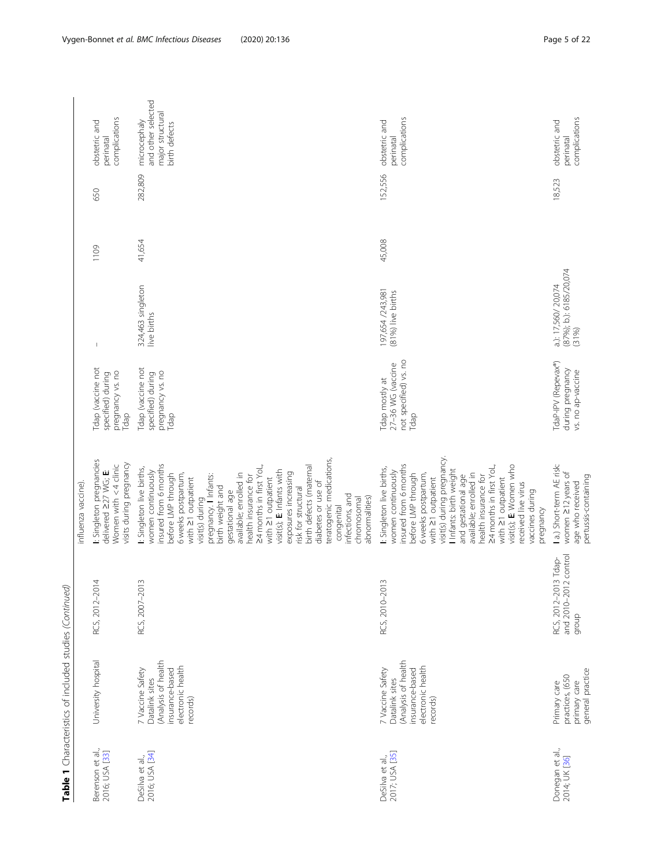|                                    | Table 1 Characteristics of included studies (Continued)                                                       |                                                        |                                                                                                                                                                                                                                                                                                                                                                                                                                                                                                                                                              |                                                                           |                                                         |        |         |                                                                         |
|------------------------------------|---------------------------------------------------------------------------------------------------------------|--------------------------------------------------------|--------------------------------------------------------------------------------------------------------------------------------------------------------------------------------------------------------------------------------------------------------------------------------------------------------------------------------------------------------------------------------------------------------------------------------------------------------------------------------------------------------------------------------------------------------------|---------------------------------------------------------------------------|---------------------------------------------------------|--------|---------|-------------------------------------------------------------------------|
|                                    |                                                                                                               |                                                        | influenza vaccine)                                                                                                                                                                                                                                                                                                                                                                                                                                                                                                                                           |                                                                           |                                                         |        |         |                                                                         |
| Berenson et al.,<br>2016; USA [33] | University hospital                                                                                           | RCS, 2012-2014                                         | I: Singleton pregnancies<br>delivered 227 WG; E:<br>visits during pregnancy<br>Women with $<$ 4 clinic                                                                                                                                                                                                                                                                                                                                                                                                                                                       | Tdap (vaccine not<br>pregnancy vs. no<br>specified) during<br>Tdap        | $\begin{array}{c} \end{array}$                          | 1109   | 650     | complications<br>obstetric and<br>perinatal                             |
| 2016; USA [34]<br>DeSilva et al.,  | (Analysis of health<br>electronic health<br>insurance-based<br>7 Vaccine Safety<br>Datalink sites<br>records) | RCS, 2007-2013                                         | teratogenic medications,<br>insured from 6 months<br>birth defects (maternal<br>24 months in first YoL,<br>I: Singleton live births,<br>women continuously<br>visit(s); E: Infants with<br>6 weeks postpartum,<br>available; enrolled in<br>exposures increasing<br>before LMP through<br>pregnancy. I Infants:<br>health insurance for<br>with 21 outpatient<br>with 21 outpatient<br>diabetes or use of<br>birth weight and<br>risk for structural<br>gestational age<br>infections, and<br>abnormalities)<br>chromosomal<br>visit(s) during<br>congenital | <b>Tdap (vaccine not</b><br>pregnancy vs. no<br>specified) during<br>Tdap | 324,463 singleton<br>live births                        | 41,654 | 282,809 | and other selected<br>major structural<br>microcephaly<br>birth defects |
| 2017; USA [35]<br>DeSilva et al.,  | (Analysis of health<br>electronic health<br>insurance-based<br>7 Vaccine Safety<br>Datalink sites<br>records) | RCS, 2010-201                                          | visit(s) during pregnancy.<br>insured from 6 months<br>visit(s); E: Women who<br>24 months in first YoL,<br>I: Singleton live births,<br>Infants: birth weight<br>women continuously<br>6 weeks postpartum,<br>available; enrolled in<br>before LMP through<br>and gestational age<br>health insurance for<br>with 21 outpatient<br>with 21 outpatient<br>received live virus<br>vaccines during<br>pregnancy                                                                                                                                                | not specified) vs. no<br>27-36 WG (vaccine<br>Tdap mostly at<br>Tdap      | 197,654 /243,981<br>(81%) live births                   | 45,008 | 152,556 | complications<br>obstetric and<br>perinatal                             |
| Donegan et al.,<br>2014; UK [36]   | general practice<br>practices, (650<br>primary care<br>Primary care                                           | and 2010-2012 control<br>RCS, 2012-2013 Tdap-<br>qroup | 1 a.) Short-term AE risk:<br>women 212 years of<br>pertussis-containing<br>age who received                                                                                                                                                                                                                                                                                                                                                                                                                                                                  | TdaP-IPV (Repevax®)<br>during pregnancy<br>vs. no ap-vaccine              | (87%); b.): 6185/20,074<br>a.): 17,560/ 20,074<br>(31%) |        | 18,523  | complications<br>obstetric and<br>perinatal                             |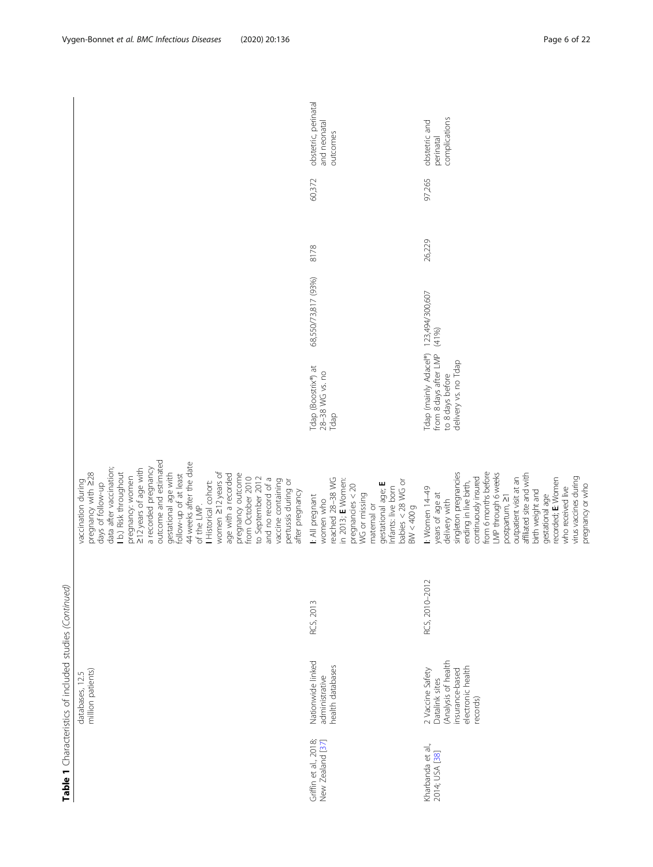|                                           | Table 1 Characteristics of included studies (Continued)                                                       |                |                                                                                                                                                                                                                                                                                                                                                                                                                                                                                                                                      |                                                                                            |                         |        |        |                                                  |
|-------------------------------------------|---------------------------------------------------------------------------------------------------------------|----------------|--------------------------------------------------------------------------------------------------------------------------------------------------------------------------------------------------------------------------------------------------------------------------------------------------------------------------------------------------------------------------------------------------------------------------------------------------------------------------------------------------------------------------------------|--------------------------------------------------------------------------------------------|-------------------------|--------|--------|--------------------------------------------------|
|                                           | million patients)<br>databases, 12.5                                                                          |                | outcome and estimated<br>44 weeks after the date<br>data after vaccination;<br>a recorded pregnancy<br>212 years of age with<br>I b.) Risk throughout<br>pregnancy with 228<br>gestational age with<br>women 212 years of<br>pregnancy outcome<br>follow-up of at least<br>age with a recorded<br>pregnancy: women<br>from October 2010<br>to September 2012<br>and no record of a<br>vaccine containing<br>pertussis during or<br>vaccination during<br>I Historical cohort:<br>days of follow-up<br>after pregnancy<br>of the LMP. |                                                                                            |                         |        |        |                                                  |
| Griffin et al., 2018;<br>New Zealand [37] | Nationwide linked<br>health databases<br>administrative                                                       | RCS, 2013      | reached 28-38 WG<br>in 2013; E Women:<br>babies $<$ 28 WG or<br>gestational age; E<br>pregnancies $<$ 20<br>Infants: live born<br>WG or missing<br>I: All pregnant<br>women who<br>maternal or<br>BW < 400g                                                                                                                                                                                                                                                                                                                          | Tdap (Boostrix®) at<br>28-38 WG vs. no<br>Tdap                                             | 68,550/73,817 (93%)     | 8178   | 60,372 | obstetric, perinatal<br>and neonatal<br>outcomes |
| Kharbanda et al.,<br>2014; USA [38]       | (Analysis of health<br>electronic health<br>insurance-based<br>2 Vaccine Safety<br>Datalink sites<br>records) | RCS, 2010-2012 | singleton pregnancies<br>from 6 months before<br>LMP through 6 weeks<br>affiliated site and with<br>continuously insured<br>virus vaccines during<br>recorded; E Women<br>outpatient visit at an<br>ending in live birth,<br>pregnancy or who<br>who received live<br>I: Women 14-49<br>birth weight and<br>years of age at<br>gestational age<br>postpartum, 21<br>delivery with                                                                                                                                                    | Tdap (mainly Adacel®)<br>from 8 days after LMP<br>delivery vs. no Tdap<br>to 8 days before | 123,494/300,607<br>(41% | 26,229 | 97,265 | complications<br>obstetric and<br>perinatal      |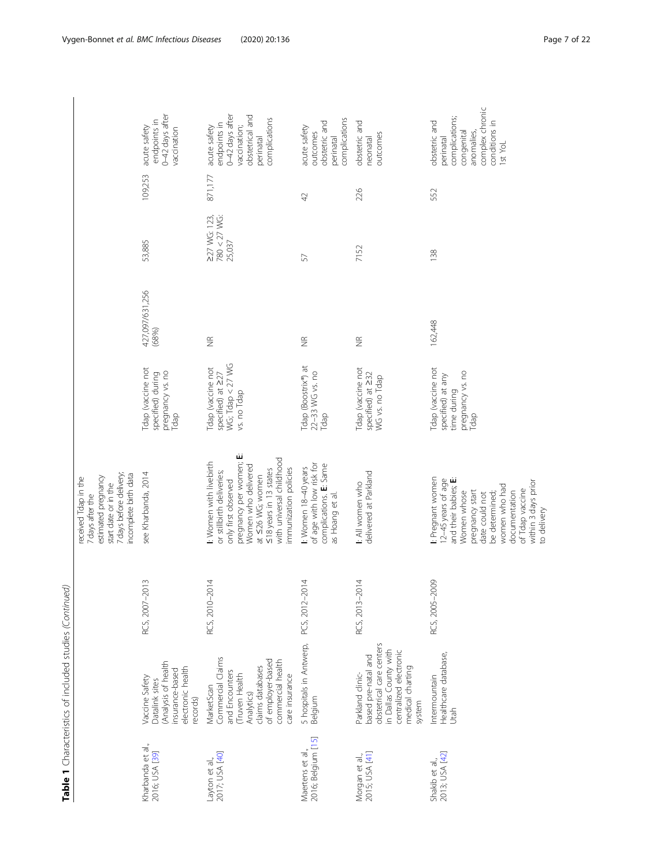|                                        | Table 1 Characteristics of included studies (Continued)                                                                                                          |                         |                                                                                                                                                                                                                                            |                                                                                          |                          |                                        |         |                                                                                                                         |
|----------------------------------------|------------------------------------------------------------------------------------------------------------------------------------------------------------------|-------------------------|--------------------------------------------------------------------------------------------------------------------------------------------------------------------------------------------------------------------------------------------|------------------------------------------------------------------------------------------|--------------------------|----------------------------------------|---------|-------------------------------------------------------------------------------------------------------------------------|
|                                        |                                                                                                                                                                  |                         | 7 days before delivery;<br>incomplete birth data<br>estimated pregnancy<br>received Tdap in the<br>start date or in the<br>7 days after the                                                                                                |                                                                                          |                          |                                        |         |                                                                                                                         |
| Kharbanda et al.,<br>2016; USA [39]    | (Analysis of health<br>electronic health<br>insurance-based<br>Vaccine Safety<br>Datalink sites<br>records)                                                      | $\sim$<br>RCS, 2007-201 | see Kharbanda, 2014                                                                                                                                                                                                                        | Tdap (vaccine not<br>pregnancy vs. no<br>specified) during<br>Tdap                       | 427,097/631,256<br>(68%) | 53,885                                 | 109,253 | 0-42 days after<br>endpoints in<br>acute safety<br>vaccination                                                          |
| 2017; USA [40]<br>Layton et al.,       | Commercial Claims<br>of employer-based<br>commercial health<br>claims databases<br>and Encounters<br>Truven Health<br>care insurance<br>MarketScan<br>Analytics) | 4<br>RCS, 2010-201      | نن<br>with universal childhood<br>pregnancy per women;<br><b>I:</b> Women with livebirth<br>Women who delivered<br>immunization policies<br>≤18 years in 13 states<br>or stillbirth deliveries;<br>at ≤26 WG; women<br>only first observed | WG; Tdap < 27 WG<br>Tdap (vaccine not<br>specified) at 227<br>vs. no Tdap                | $\frac{\alpha}{2}$       | 227 WG: 123,<br>780 < 27 WG:<br>25,037 | 871,177 | 0-42 days after<br>obstetrical and<br>complications<br>endpoints in<br>vaccination;<br>acute safety<br>perinatal        |
| 2016; Belgium [15]<br>Maertens et al., | 5 hospitals in Antwerp,<br>Belgium                                                                                                                               | 4<br>PCS, 2012-201      | of age with low risk for<br>complications. E: Same<br>t Women 18-40 years<br>as Hoang et al.                                                                                                                                               | Tdap (Boostrix®) at<br>22-33 WG vs. no<br>Tdap                                           | $\widetilde{\Xi}$        | 57                                     | 42      | complications<br>obstetric and<br>acute safety<br>outcomes<br>perinatal                                                 |
| 2015; USA [41]<br>Morgan et al.,       | obstetrical care centers<br>in Dallas County with<br>centralized electronic<br>based pre-natal and<br>medical charting<br>Parkland clinic-<br>system             | 4<br>RCS, 2013-201      | delivered at Parkland<br>I: All women who                                                                                                                                                                                                  | <b>Tdap (vaccine not</b><br>specified) at 232<br>WG vs. no Tdap                          | $\frac{\alpha}{2}$       | 7152                                   | 226     | obstetric and<br>outcomes<br>neonatal                                                                                   |
| 2013; USA [42]<br>Shakib et al.,       | Healthcare database,<br>Intermountain<br>Utah                                                                                                                    | RCS, 2005-2009          | I: Pregnant women<br>and their babies; E:<br>12-45 years of age<br>within 3 days prior<br>women who had<br>of Tdap vaccine<br>pregnancy start<br>documentation<br>Women whose<br>date could not<br>be determined;<br>to delivery           | <b>Tdap (vaccine not</b><br>pregnancy vs. no<br>specified) at any<br>time during<br>Tdap | 162,448                  | 138                                    | 552     | complex chronic<br>complications;<br>obstetric and<br>conditions in<br>congenital<br>anomalies,<br>perinatal<br>1st YoL |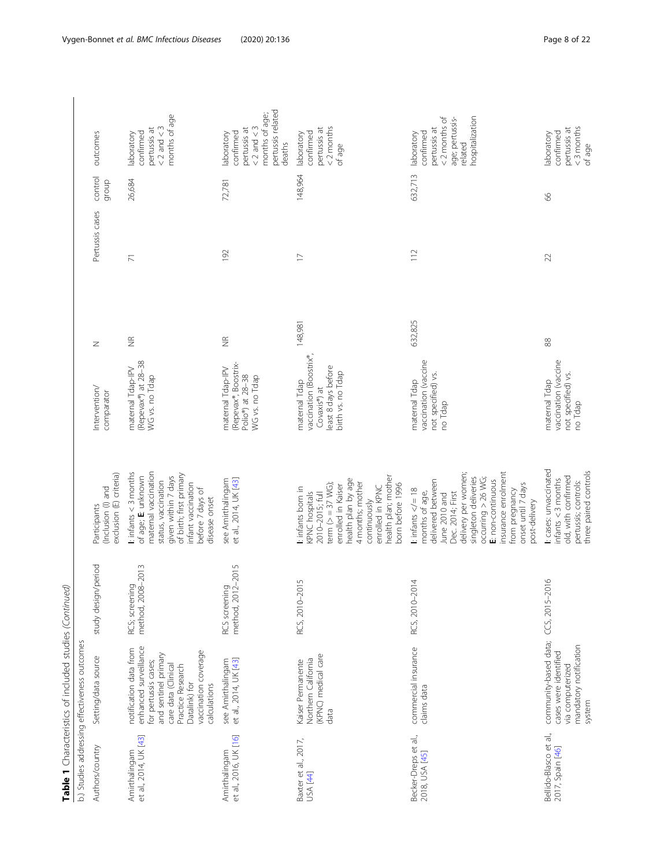|                                            | Table 1 Characteristics of included studies (Continued)                                                                                                                                              |                                            |                                                                                                                                                                                                                                                                           |                                                                                                      |                    |                 |                  |                                                                                                             |
|--------------------------------------------|------------------------------------------------------------------------------------------------------------------------------------------------------------------------------------------------------|--------------------------------------------|---------------------------------------------------------------------------------------------------------------------------------------------------------------------------------------------------------------------------------------------------------------------------|------------------------------------------------------------------------------------------------------|--------------------|-----------------|------------------|-------------------------------------------------------------------------------------------------------------|
|                                            | b.) Studies addressing effectiveness outcomes                                                                                                                                                        |                                            |                                                                                                                                                                                                                                                                           |                                                                                                      |                    |                 |                  |                                                                                                             |
| Authors/country                            | Setting/data source                                                                                                                                                                                  | study design/period                        | exclusion (E) criteria)<br>(Inclusion (I) and<br>Participants                                                                                                                                                                                                             | Intervention/<br>comparator                                                                          | $\mathbb Z$        | Pertussis cases | control<br>dronb | outcomes                                                                                                    |
| et al., 2014, UK [43]<br>Amirthalingam     | enhanced surveillance<br>notification data from<br>vaccination coverage<br>and sentinel primary<br>for pertussis cases;<br>care data (Clinical<br>Practice Research<br>Datalink) for<br>calculations | $-2013$<br>RCS; screening<br>method, 2008- | maternal vaccination<br>$\mathbf{L}$ infants < 3 months<br>of birth; first primary<br>given within 7 days<br>of age; E: unknown<br>status, vaccination<br>infant vaccination<br>before 7 days of<br>disease onset                                                         | (Repevax®) at 28-38<br>maternal Tdap-IPV<br>WG vs. no Tdap                                           | $\frac{\alpha}{2}$ | $\overline{7}$  | 26,684           | months of age<br>$< 2$ and $< 3$<br>pertussis at<br>confirmed<br>laboratory                                 |
| et al., 2016, UK [16]<br>Amirthalingam     | see Amirthalingam<br>et al., 2014, UK [43]                                                                                                                                                           | method, 2012-2015<br>RCS screening         | et al., 2014, UK [43]<br>see Amirthalingam                                                                                                                                                                                                                                | (Repevax®, Boostrix-<br>maternal Tdap-IPV<br>Polio®) at 28-38<br>WG vs. no Tdap                      | $\widetilde{\Xi}$  | 192             | 72,781           | pertussis related<br>months of age;<br>$< 2$ and $< 3$<br>pertussis at<br>confirmed<br>laboratory<br>deaths |
| Baxter et al., 2017,<br>USA [44]           | (KPNC) medical care<br>Northern California<br>Kaiser Permanente<br>data                                                                                                                              | RCS, 2010-2015                             | health plan; mother<br>health plan by age<br>4 months; mother<br>term ( $>$ = 37 WG);<br>enrolled in Kaiser<br>born before 1996<br>enrolled in KPNC<br>I: infants born in<br>KPNC hospitals<br>2010-2015; full<br>continuously                                            | vaccination (Boostrix®,<br>least 8 days before<br>birth vs. no Tdap<br>maternal Tdap<br>Covaxis®) at | 148,981            | $\overline{1}$  | 148,964          | $<$ 2 months<br>pertussis at<br>confirmed<br>laboratory<br>of age                                           |
| Becker-Dreps et al.,<br>2018, USA [45]     | commercial insurance<br>claims data                                                                                                                                                                  | RCS, 2010-2014                             | insurance enrolment<br>delivery per women;<br>singleton deliveries<br>occuring > 26 WG;<br>delivered between<br>E: non-continuous<br>onset until 7 days<br>from pregnancy<br>I: infants $\lt/=18$<br>months of age,<br>Dec. 2014; First<br>June 2010 and<br>post-delivery | vaccination (vaccine<br>not specified) vs.<br>maternal Tdap<br>no Tdap                               | 632,825            | $\frac{1}{2}$   | 632,713          | <2 months of<br>hospitalization<br>age; pertussis-<br>pertussis at<br>confirmed<br>laboratory<br>related    |
| Bellido-Blasco et al.,<br>2017, Spain [46] | community-based data;<br>mandatory notification<br>cases were identified<br>via computerized<br>system                                                                                               | $\circ$<br>CCS, 2015-201                   | I: cases: unvaccinated<br>three paired controls<br>old, with confirmed<br>infants < 3 months<br>pertussis; controls:                                                                                                                                                      | vaccination (vaccine<br>not specified) vs.<br>maternal Tdap<br>no Tdap                               | $88$               | 22              | 89               | $<$ 3 months<br>pertussis at<br>confirmed<br>laboratory<br>of age                                           |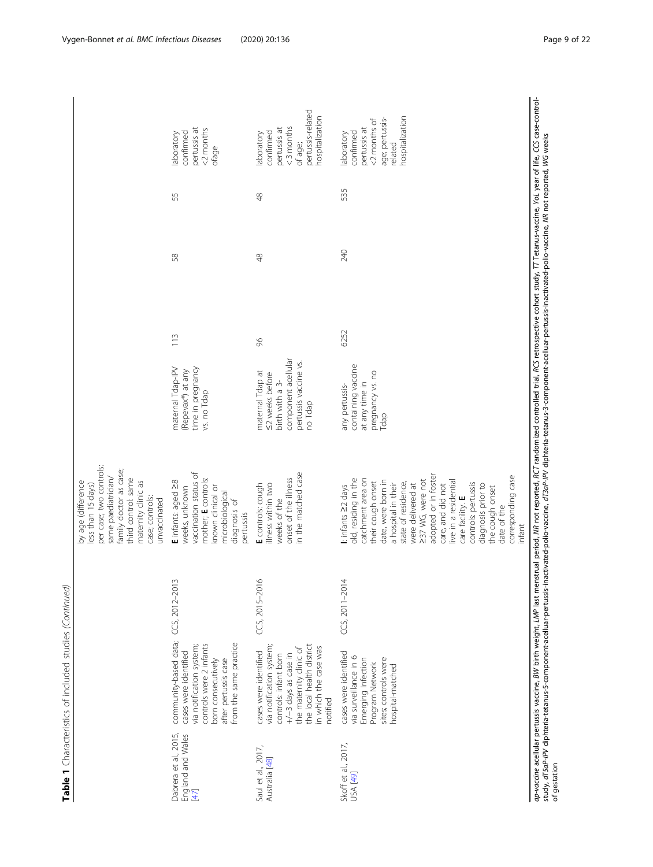|                                                    | Table 1 Characteristics of included studies (Continued)                                                                                                                                         |                                     |                                                                                                                                                                                                                                                                                                                                                                                                            |                                                                                                                   |      |               |               |                                                                                                            |
|----------------------------------------------------|-------------------------------------------------------------------------------------------------------------------------------------------------------------------------------------------------|-------------------------------------|------------------------------------------------------------------------------------------------------------------------------------------------------------------------------------------------------------------------------------------------------------------------------------------------------------------------------------------------------------------------------------------------------------|-------------------------------------------------------------------------------------------------------------------|------|---------------|---------------|------------------------------------------------------------------------------------------------------------|
|                                                    |                                                                                                                                                                                                 |                                     | per case; two controls:<br>family doctor as case;<br>same paediatrician/<br>third control: same<br>maternity clinic as<br>by age (difference<br>less than 15 days)<br>case; controls:<br>unvaccinated                                                                                                                                                                                                      |                                                                                                                   |      |               |               |                                                                                                            |
| Dabrera et al., 2015,<br>England and Wales<br>[47] | community-based data; CCS, 2012-201<br>from the same practice<br>controls were 2 infants<br>via notification system;<br>cases were identified<br>born consecutively<br>after pertussis case     | $\sim$                              | vaccination status of<br>mother; E controls:<br>E infants: aged 28<br>known clinical or<br>weeks, unknown<br>microbiological<br>diagnosis of<br>pertussis                                                                                                                                                                                                                                                  | maternal Tdap-IPV<br>time in pregnancy<br>(Repevax®) at any<br>vs. no Tdap                                        | 113  | 58            | 55            | pertussis at<br><2 months<br>confirmed<br>laboratory<br>ofage                                              |
| Saul et al., 2017,<br>Australia [48]               | the local health district<br>via notification system;<br>in which the case was<br>the maternity clinic of<br>cases were identified<br>controls: infant born<br>+/-3 days as case in<br>notified | $\overline{9}$<br>$CCS, 2015 - 207$ | in the matched case<br>onset of the illness<br>E controls: cough<br>illness within two<br>weeks of the                                                                                                                                                                                                                                                                                                     | component acellular<br>pertussis vaccine vs.<br>maternal Tdap at<br><2 weeks before<br>birth with a 3-<br>no Tdap | 96   | $\frac{8}{4}$ | $\frac{8}{4}$ | pertussis-related<br>hospitalization<br>$<$ 3 months<br>pertussis at<br>confirmed<br>laboratory<br>of age; |
| Skoff et al., 2017,<br>USA [49]                    | cases were identified<br>via surveillance in 6<br>sites; controls were<br>Emerging Infection<br>Program Network<br>hospital-matched                                                             | 4<br>$CCS, 2011 - 201$              | adopted or in foster<br>corresponding case<br>old, residing in the<br>catchment area on<br>237 WG, were not<br>date, were born in<br>live in a residential<br>their cough onset<br>state of residence,<br>controls: pertussis<br>a hospital in their<br>were delivered at<br>diagnosis prior to<br>care, and did not<br>I: infants 22 days<br>the cough onset<br>care facility. E<br>date of the<br>infant | containing vaccine<br>pregnancy vs. no<br>at any time in<br>any pertussis-<br>Tdap                                | 6252 | 240           | 535           | hospitalization<br>age; pertussis-<br><2 months of<br>pertussis at<br>confirmed<br>laboratory<br>related   |
|                                                    |                                                                                                                                                                                                 |                                     | ap-orcine acellular nettiisis vacine. RM birth weight. IMP has menstrual neight NR not reproducing on the Salink School of the Control of the CCS case-control-                                                                                                                                                                                                                                            |                                                                                                                   |      |               |               |                                                                                                            |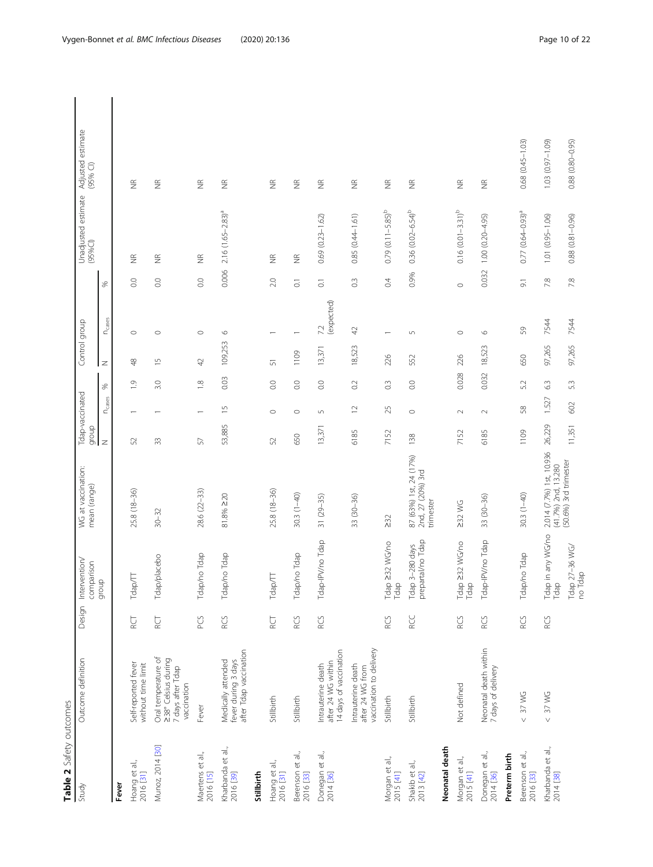| )<br>5 |
|--------|
|        |
| t      |
|        |
|        |
|        |

<span id="page-9-0"></span>

| こしこい                           |                                                                                |            |                                      |                                                                          |                          |                          |                  |                |                          |                    |                                |                                 |
|--------------------------------|--------------------------------------------------------------------------------|------------|--------------------------------------|--------------------------------------------------------------------------|--------------------------|--------------------------|------------------|----------------|--------------------------|--------------------|--------------------------------|---------------------------------|
| Study                          | Outcome definition                                                             | Design     | Intervention/<br>comparison          | WG at vaccination:<br>mean (range)                                       | Tdap-vaccinated<br>dronb |                          |                  | Control group  |                          |                    | Unadjusted estimate<br>(95%Cl) | Adjusted estimate<br>$(95%$ CI) |
|                                |                                                                                |            | qroup                                |                                                                          | $\overline{z}$           | <b>N</b> cases           | S,               | $\mathbb Z$    | $n_{\text{cases}}$       | %                  |                                |                                 |
| Fever                          |                                                                                |            |                                      |                                                                          |                          |                          |                  |                |                          |                    |                                |                                 |
| Hoang et al.,<br>2016 [31]     | Self-reported fever<br>without time limit                                      | <b>RCT</b> | Tdap/TT                              | 25.8 (18-36)                                                             | 52                       |                          | $\overline{0}$   | $\frac{8}{5}$  | $\circ$                  | 0.0                | $\frac{\alpha}{2}$             | $\widetilde{\Xi}$               |
| Munoz, 2014 [30]               | Oral temperature of<br>238° Celsius during<br>7 days after Tdap<br>vaccination | DS<br>R    | Tdap/placebo                         | $30 - 32$                                                                | 33                       |                          | 3.0              | $\overline{1}$ | $\circ$                  | 0.0                | $\widetilde{\Xi}$              | $\widetilde{\Xi}$               |
| Maertens et al.,<br>2016 [15]  | Fever                                                                          | PCS        | Tdap/no Tdap                         | 28.6 (22-33)                                                             | 57                       |                          | $\frac{8}{10}$   | 42             | $\circ$                  | 0.0                | $\widetilde{\Xi}$              | $\widetilde{\Xi}$               |
| Kharbanda et al.,<br>2016 [39] | after Tdap vaccination<br>Medically attended<br>fever during 3 days            | RCS        | Tdap/no Tdap                         | 81.8% ≥20                                                                | 53,885                   | $\overline{\phantom{0}}$ | 0.03             | 109,253        | $\circ$                  | 0.006              | $2.16 (1.65 - 2.83)^a$         | $\widetilde{\Xi}$               |
| Stillbirth                     |                                                                                |            |                                      |                                                                          |                          |                          |                  |                |                          |                    |                                |                                 |
| Hoang et al.,<br>2016 [31]     | Stillbirth                                                                     | ĔД         | Tdap/TT                              | 25.8 (18-36)                                                             | 52                       | $\circ$                  | $\rm ^{0.0}$     | 57             |                          | 2.0                | $\frac{\alpha}{2}$             | $\widetilde{\Xi}$               |
| Berenson et al.,<br>2016 [33]  | Stillbirth                                                                     | RCS        | Tdap/no Tdap                         | $30.3(1-40)$                                                             | 650                      | $\circ$                  | $_{\odot}$       | 1109           | $\overline{\phantom{0}}$ | $\overline{c}$     | $\frac{\alpha}{Z}$             | $\widetilde{\Xi}$               |
| Donegan et al.,<br>2014 [36]   | 14 days of vaccination<br>after 24 WG within<br>Intrauterine death             | RCS        | Tdap-IPV/no Tdap                     | $31(29-35)$                                                              | 13,371                   | S                        | $\overline{0}$   | 13,371         | (expected)<br>72         | $\overline{\circ}$ | $0.69$ $(0.23 - 1.62)$         | $\widetilde{\Xi}$               |
|                                | vaccination to delivery<br>Intrauterine death<br>after 24 WG from              |            |                                      | 33 (30-36)                                                               | 6185                     | $\supseteq$              | $\overline{0}$   | 18,523         | $42$                     | $0.\overline{3}$   | $0.85(0.44 - 1.61)$            | $\widetilde{\Xi}$               |
| Morgan et al.,<br>2015 [41]    | Stillbirth                                                                     | RCS        | Tdap 232 WG/no<br>Tdap               | $\geq 32$                                                                | 7152                     | 25                       | $0.\overline{3}$ | 226            | $\overline{\phantom{0}}$ | $\ddot{\theta}$    | $0.79$ $(0.11 - 5.85)^b$       | $\frac{\alpha}{2}$              |
| Shakib et al.,<br>2013 [42]    | Stillbirth                                                                     | RCC        | prepartal/no Tdap<br>Tdap 3-280 days | 87 (63%) 1st, 24 (17%)<br>2nd, 27 (20%) 3rd<br>trimester                 | 138                      | $\circ$                  | $\overline{0}$ . | 552            | $\sqrt{2}$               | 0.9%               | $0.36$ $(0.02 - 6.54)^b$       | $\frac{\alpha}{2}$              |
| Neonatal death                 |                                                                                |            |                                      |                                                                          |                          |                          |                  |                |                          |                    |                                |                                 |
| Morgan et al<br>2015 [41]      | Not defined                                                                    | RCS        | $232$ WG/no<br>Tdap<br>Tdap          | $232$ WG                                                                 | 7152                     | $\sim$                   | 0.028            | 226            | $\circ$                  | $\circ$            | $0.16$ $(0.01 - 3.31)^b$       | $\frac{\alpha}{2}$              |
| Donegan et al.,<br>2014 [36]   | Neonatal death within<br>7 days of delivery                                    | RCS        | Tdap-IPV/no Tdap                     | 33 (30-36)                                                               | 6185                     | $\sim$                   | 0.032            | 18,523         | $\circ$                  | 0.032              | $1.00(0.20 - 4.95)$            | $\frac{\alpha}{2}$              |
| Preterm birth                  |                                                                                |            |                                      |                                                                          |                          |                          |                  |                |                          |                    |                                |                                 |
| Berenson et al.,<br>2016 [33]  | 37 WG<br>$\vee$                                                                | RCS        | Tdap/no Tdap                         | $30.3(1-40)$                                                             | 1109                     | 58                       | 5.2              | 650            | 59                       | $\overline{9}$ .   | $0.77(0.64 - 0.93)^{a}$        | $0.68(0.45 - 1.03)$             |
| Kharbanda et al.,<br>2014 [38] | $< 37$ WG                                                                      | RCS        | Tdap in any WG/no<br>Tdap            | 2.014 (7.7%) 1st, 10.936<br>(41.7%) 2nd, 13.280<br>(50.6%) 3rd trimester | 26,229                   | 1.527                    | 63               | 97,265         | 7544                     | 78                 | 1.01 (0.95-1.06)               | 1.03 (0.97-1.09)                |
|                                |                                                                                |            | Tdap 27–36 WG/<br>no Tdap            |                                                                          | 11,351                   | 602                      | 5.3              | 97,265         | 7544                     | 7.8                | $0.88$ $(0.81 - 0.96)$         | $0.88(0.80 - 0.95)$             |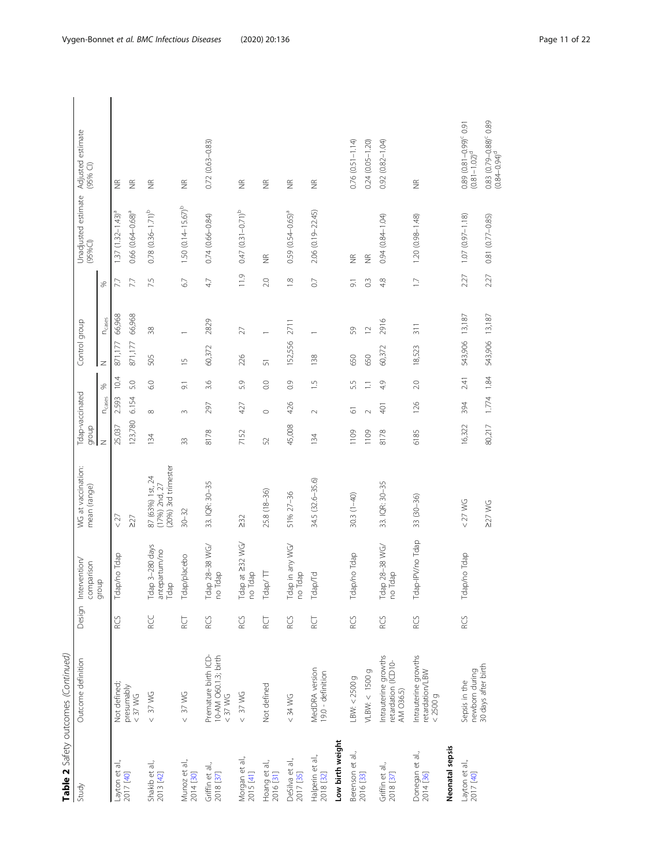|                               | Table 2 Safety outcomes (Continued)                       |            |                                          |                                                            |                          |                    |                  |                |                          |                |                                   |                                                    |
|-------------------------------|-----------------------------------------------------------|------------|------------------------------------------|------------------------------------------------------------|--------------------------|--------------------|------------------|----------------|--------------------------|----------------|-----------------------------------|----------------------------------------------------|
| Study                         | Outcome definition                                        | Design     | Intervention/<br>comparison              | WG at vaccination:<br>mean (range)                         | Tdap-vaccinated<br>dnoib |                    |                  | Control group  |                          |                | Unadjusted estimate<br>(95%Cl)    | Adjusted estimate<br>$(95%$ Cl)                    |
|                               |                                                           |            | $\Omega$<br>noib                         |                                                            | $\overline{z}$           | N <sub>cases</sub> | ℅                | Z              | <b>N</b> cases           | ℅              |                                   |                                                    |
| Layton et al.,<br>2017 [40]   | Not defined;                                              | RCS        | Tdap/no Tdap                             | < 27                                                       | 25,037                   | 2.593              | 10.4             | 871,177        | 66,968                   | 7.7            | $1.37(1.32 - 1.43)^{a}$           | $\frac{\alpha}{2}$                                 |
|                               | presumably<br>$<$ 37 WG                                   |            |                                          | $\geq$                                                     | 123,780                  | 6.154              | 5.0              | 871,177        | 66,968                   | 7.7            | $0.66~(0.64 - 0.68)^a$            | $\widetilde{\Xi}$                                  |
| Shakib et al.,<br>2013 [42]   | $< 37$ WG                                                 | <b>RCC</b> | Tdap 3-280 days<br>antepartum/no<br>Tdap | (20%) 3rd trimester<br>87 (63%) 1st, 24<br>$(17%)$ 2nd, 27 | 134                      | $\infty$           | 6.0              | 505            | 38                       | 7.5            | $0.78$ $(0.36 - 1.71)^b$          | $\frac{\alpha}{2}$                                 |
| Munoz et al.,<br>2014 [30]    | $< 37$ WG                                                 | ă          | Tdap/placebo                             | $30 - 32$                                                  | 33                       | $\infty$           | $\overline{9}$ . | $\overline{5}$ |                          | 67             | $1.50(0.14 - 15.67)$ <sup>b</sup> | $\frac{\alpha}{2}$                                 |
| Griffin et al.,<br>2018 [37]  | Premature birth ICD-<br>10-AM O60.1.3; birth<br>$< 37$ WG | RCS        | Tdap 28-38 WG/<br>dap<br>$\overline{e}$  | 33. IQR: 30-35                                             | 8178                     | 297                | 3.6              | 60,372         | 2829                     | 4.7            | $0.74(0.66 - 0.84)$               | $0.72(0.63 - 0.83)$                                |
| Morgan et al.,<br>2015 [41]   | $< 37$ WG                                                 | RCS        | Tdap at 232 WG/<br>dap<br>$\overline{e}$ | 232                                                        | 7152                     | 427                | 5.9              | 226            | $\overline{27}$          | 11.9           | $0.47(0.31 - 0.71)^b$             | $\widetilde{\Xi}$                                  |
| Hoang et al.,<br>2016 [31]    | Not defined                                               | ă          | Tdap/ $\Pi$                              | 25.8 (18-36)                                               | 52                       | $\circ$            | 0.0              | 5              | $\overline{\phantom{0}}$ | 2.0            | $\frac{\alpha}{2}$                | $\frac{\alpha}{2}$                                 |
| DeSilva et al.,<br>2017 [35]  | $<$ 34 WG                                                 | RCS        | Tdap in any WG/<br>dap<br>ี้<br>2        | 51% 27-36                                                  | 45,008                   | 426                | 0.9              | 152,556        | 2711                     | $\frac{8}{10}$ | $0.59(0.54 - 0.65)^{a}$           | $\widetilde{\Xi}$                                  |
| Halperin et al.,<br>2018 [32] | MedDRA version<br>19.0 - definition                       | ĔД         | Tdap/Td                                  | 34.5 (32.6-35.6)                                           | 134                      | $\sim$             | $\overline{-}$   | 138            |                          | $\overline{C}$ | 2.06 (0.19-22.45)                 | $\widetilde{\Xi}$                                  |
| Low birth weight              |                                                           |            |                                          |                                                            |                          |                    |                  |                |                          |                |                                   |                                                    |
| Berenson et al.,              | LBW: < 2500g                                              | RCS        | Tdap/no Tdap                             | $30.3(1-40)$                                               | 1109                     | 5                  | 55               | 650            | SS,                      | $\overline{9}$ | $\frac{\alpha}{2}$                | $0.76(0.51 - 1.14)$                                |
| 2016 [33]                     | VLBW: < 1500 g                                            |            |                                          |                                                            | 1109                     | $\sim$             | $\Box$           | 650            | $\overline{C}$           | $\frac{3}{2}$  | $\frac{\alpha}{2}$                | $0.24(0.05 - 1.20)$                                |
| Griffin et al.,<br>2018 [37]  | Intrauterine growths<br>retardation (ICD10-<br>AM O36.5)  | RCS        | Tdap 28-38 WG/<br>Tdap<br>$\overline{e}$ | 33. IQR: 30-35                                             | 8178                     | 401                | 4.9              | 60,372         | 2916                     | 4.8            | $0.94(0.84 - 1.04)$               | $0.92(0.82 - 1.04)$                                |
| Donegan et al.,<br>2014 [36]  | Intrauterine growths<br>retardation/LBW<br>< 2500g        | RCS        | Tdap-IPV/no Tdap                         | 33 (30-36)                                                 | 6185                     | 126                | 2.0              | 18,523         | 311                      | $\Box$         | 1.20 (0.98-1.48)                  | $\frac{\alpha}{2}$                                 |
| Neonatal sepsis               |                                                           |            |                                          |                                                            |                          |                    |                  |                |                          |                |                                   |                                                    |
| Layton et al.,<br>2017 [40]   | newborn during<br>Sepsis in the                           | RCS        | Tdap/no Tdap                             | $<$ 27 WG                                                  | 16,322                   | 394                | 2.41             | 543,906        | 13,187                   | 2.27           | $1.07(0.97 - 1.18)$               | $0.89(0.81 - 0.99)^c$ 0.91<br>$(0.81 - 1.02)^d$    |
|                               | 30 days after birth                                       |            |                                          | $227$ WG                                                   | 80,217                   | 1.774              | 1.84             | 543,906        | 13,187                   | 2.27           | 0.81 (0.77-0.85)                  | $0.83$ $(0.79 - 0.88)^c$ 0.89<br>$(0.84 - 0.94)^d$ |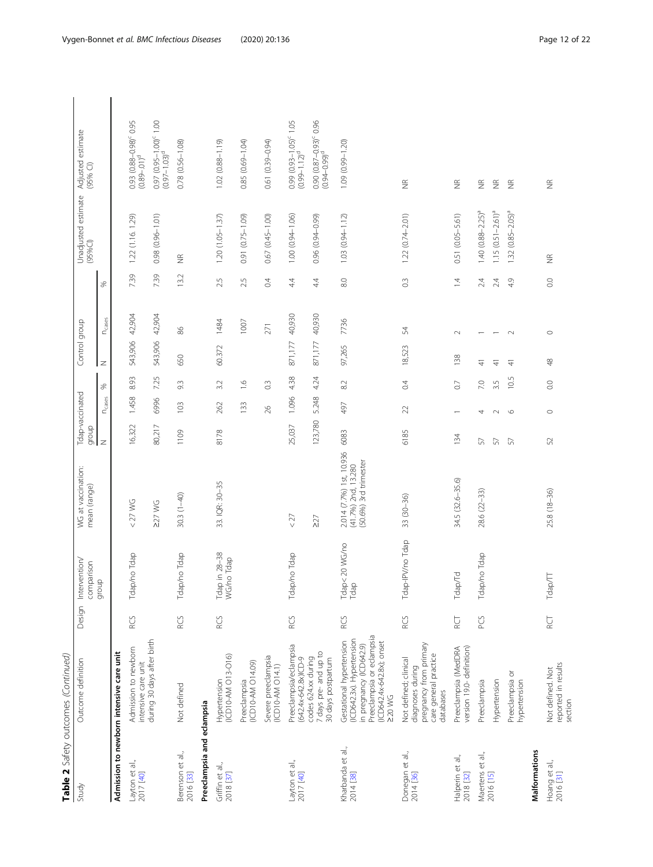|                                | Table 2 Safety outcomes (Continued)                                                                                                                 |            |                                        |                                                                          |                          |                   |                  |               |                    |                    |                                |                                                                    |
|--------------------------------|-----------------------------------------------------------------------------------------------------------------------------------------------------|------------|----------------------------------------|--------------------------------------------------------------------------|--------------------------|-------------------|------------------|---------------|--------------------|--------------------|--------------------------------|--------------------------------------------------------------------|
| Study                          | Outcome definition                                                                                                                                  | Design     | Intervention/<br>comparison            | WG at vaccination:<br>mean (range)                                       | Tdap-vaccinated<br>dronb |                   |                  | Control group |                    |                    | Unadjusted estimate<br>(95%Cl) | Adjusted estimate<br>(95% Cl)                                      |
|                                |                                                                                                                                                     |            | $\Omega$<br>group                      |                                                                          | $\overline{z}$           | $n_{\text{case}}$ | S,               | $\mathbb Z$   | $n_{\text{cases}}$ | S,                 |                                |                                                                    |
|                                | Admission to newborn intensive care unit                                                                                                            |            |                                        |                                                                          |                          |                   |                  |               |                    |                    |                                |                                                                    |
| Layton et al.,<br>2017 [40]    | Admission to newborn<br>intensive care unit                                                                                                         | RCS        | Tdap/no Tdap                           | $<$ 27 WG                                                                | 16,322                   | 1.458             | 8.93             | 543,906       | 42,904             | 739                | 1.22 (1.16. 1.29)              | 0.93 (0.88-0.98) <sup>c</sup> 0.95<br>$(0.89 - 0.1)^d$             |
|                                | during 30 days after birth                                                                                                                          |            |                                        | $227$ WG                                                                 | 80,217                   | 6996              | 7.25             | 543,906       | 42,904             | 7.39               | $0.98$ $(0.96 - 1.01)$         | 0.97 (0.95-1.00) <sup>c</sup> 1.00<br>$(0.97 - 1.03)$ <sup>d</sup> |
| Berenson et al.,<br>2016 [33]  | Not defined                                                                                                                                         | RCS        | Tdap/no Tdap                           | $30.3(1-40)$                                                             | 1109                     | 103               | 9.3              | 650           | 86                 | 13.2               | $\widetilde{\Xi}$              | $0.78(0.56 - 1.08)$                                                |
| Preeclampsia and eclampsia     |                                                                                                                                                     |            |                                        |                                                                          |                          |                   |                  |               |                    |                    |                                |                                                                    |
| Griffin et al.,<br>2018 [37]   | (ICD10-AM 013-016)<br>Hypertension                                                                                                                  | RCS        | Tdap in 28–38<br>WG/no Tdap<br>no Tdap | 33. IQR: 30-35                                                           | 8178                     | 262               | 3.2              | 60.372        | 1484               | 2.5                | 1.20 (1.05-1.37)               | $1.02(0.88 - 1.19)$                                                |
|                                | (ICD10-AM O14.09)<br>Preeclampsia                                                                                                                   |            |                                        |                                                                          |                          | 133               | $\frac{6}{1}$    |               | 1007               | 2.5                | $(0.75 - 1.09)$<br>0.91        | $0.85(0.69 - 1.04)$                                                |
|                                | Severe preeclampsia<br>$(1500 - AM)$                                                                                                                |            |                                        |                                                                          |                          | 26                | $0.\overline{3}$ |               | 271                | 0.4                | 0.67 (0.45-1.00)               | $0.61(0.39 - 0.94)$                                                |
| Layton et al.,<br>2017 [40]    | Preeclampsia/eclampsia<br>(642.4x-642.8x)ICD-9                                                                                                      | RCS        | Tdap/no Tdap                           | <27                                                                      | 25,037                   | 1.096             | 4.38             | 871,177       | 40,930             | 4.4                | $1.00(0.94 - 1.06)$            | 0.99 (0.93-1.05) <sup>c</sup> 1.05<br>$(0.99 - 1.12)^d$            |
|                                | 7 days pre- and up to<br>codes 624.xx during<br>30 days postpartum                                                                                  |            |                                        | $\geq$                                                                   | 123,780                  | 5.248             | 4.24             | 871,177       | 40,930             | 44                 | 0.96 (0.94-0.99)               | $0.90 (0.87 - 0.93)^c 0.96$<br>$(0.94 - 0.99)^d$                   |
| Kharbanda et al.,<br>2014 [38] | Preeclampsia or eclampsia<br>(ICD642.3x). Hypertension<br>Gestational hypertension<br>(ICD642.4x-642.8x); onset<br>in pregnancy (ICD642.9)<br>220WG | RCS        | Tdap<20 WG/no<br>Tdap                  | 2.014 (7.7%) 1st, 10.936<br>(41.7%) 2nd, 13.280<br>(50.6%) 3rd trimester | 6083                     | 497               | 82               | 97,265        | 7736               | 8.0                | $1.03(0.94 - 1.12)$            | 1.09 (0.99-1.20)                                                   |
| Donegan et al.,<br>2014 [36]   | pregnancy from primary<br>care general practice<br>Not defined; clinical<br>diagnoses during<br>databases                                           | RCS        | Tdap-IPV/no Tdap                       | 33 (30-36)                                                               | 6185                     | 22                | $\overline{0}$   | 18,523        | 54                 | $0.\overline{3}$   | $1.22(0.74 - 2.01)$            | $\frac{\alpha}{2}$                                                 |
| Halperin et al.,<br>2018 [32]  | version 19.0-definition)<br>Preeclampsia (MedDRA                                                                                                    | <b>RU</b>  | Tdap/Td                                | 34.5 (32.6-35.6)                                                         | 134                      |                   | $\overline{C}$   | 138           | $\sim$             | $\overline{4}$     | 0.51 (0.05-5.61)               | $\widetilde{\Xi}$                                                  |
| Maertens et al.,               | Preeclampsia                                                                                                                                        | <b>PCS</b> | Tdap/no<br>Tdap                        | 28.6 (22-33)                                                             | 57                       | 4                 | 7.0              | $\frac{4}{7}$ |                    | 24                 | $1.40(0.88 - 2.25)^{a}$        | $\widetilde{\Xi}$                                                  |
| 2016 [15]                      | Hypertension                                                                                                                                        |            |                                        |                                                                          | 57                       | $\sim$            | 3.5              | 41            |                    | 24                 | $1.15 (0.51 - 2.61)^a$         | $\widetilde{\Xi}$                                                  |
|                                | Preeclampsia or<br>hypertension                                                                                                                     |            |                                        |                                                                          | 57                       | $\circ$           | 10.5             | $\pm$         | $\sim$             | 4.9                | $(0.85 - 2.05)^{a}$<br>1.32    | $\widetilde{\Xi}$                                                  |
| Malformations                  |                                                                                                                                                     |            |                                        |                                                                          |                          |                   |                  |               |                    |                    |                                |                                                                    |
| Hoang et al.,<br>2016 [31]     | reported in results<br>Not defined. Not<br>section                                                                                                  | <b>RC</b>  | Tdap/TT                                | 25.8 (18-36)                                                             | 52                       | $\circ$           | 0.0              | \$            | $\circ$            | $_{\odot}^{\rm O}$ | $\widetilde{\Xi}$              | $\widetilde{\Xi}$                                                  |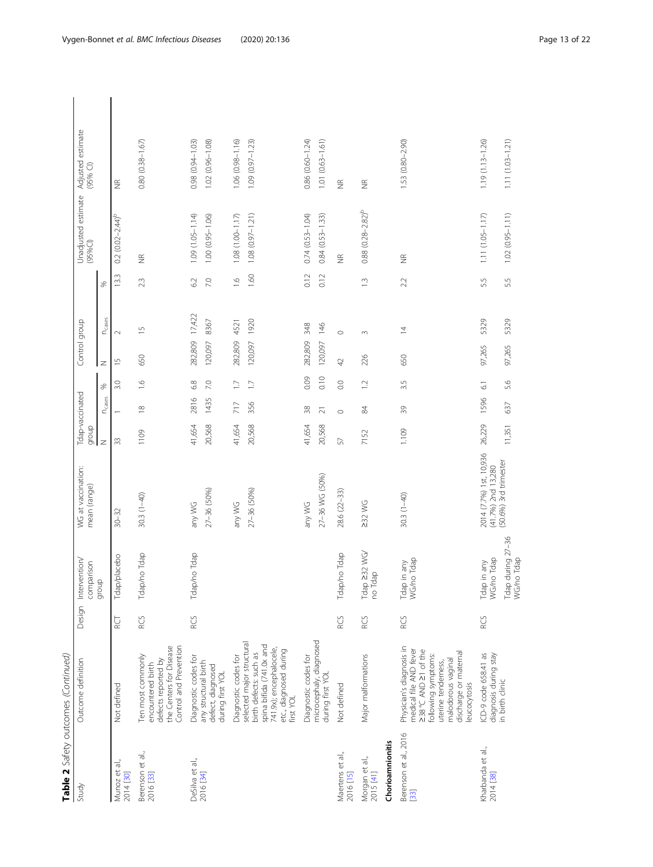|                                 | Table 2 Safety outcomes (Continued)                                                                                                                                                   |          |                                      |                                               |                  |                          |                 |                    |                    |                |                                            |                                            |  |
|---------------------------------|---------------------------------------------------------------------------------------------------------------------------------------------------------------------------------------|----------|--------------------------------------|-----------------------------------------------|------------------|--------------------------|-----------------|--------------------|--------------------|----------------|--------------------------------------------|--------------------------------------------|--|
| Study                           | Outcome definition                                                                                                                                                                    | Design   | Intervention/<br>comparison          | WG at vaccination:<br>mean (range)            | droib            | Tdap-vaccinated          |                 | Control group      |                    |                | Unadjusted estimate<br>$(95%$ CI)          | Adjusted estimate<br>$(95%$ CI)            |  |
|                                 |                                                                                                                                                                                       |          | dnoib                                |                                               | $\overline{z}$   | $n_{\text{cases}}$       | S,              | $\overline{z}$     | $n_{\text{cases}}$ | S,             |                                            |                                            |  |
| Munoz et al.,<br>2014 [30]      | Not defined                                                                                                                                                                           | RCT<br>R | Tdap/placebo                         | $30 - 32$                                     | 33               | $\overline{\phantom{0}}$ | 3.0             | $\overline{1}$     | $\sim$             | 13.3           | $0.2(0.02 - 2.44)^b$                       | $\frac{\alpha}{2}$                         |  |
| Berenson et al.,<br>2016 [33]   | the Centers for Disease<br>Control and Prevention<br>Ten most commonly<br>defects reported by<br>encountered birth                                                                    | RCS      | Tdap/no Tdap                         | $30.3(1-40)$                                  | 1109             | $\approx$                | $\frac{6}{1}$   | 650                | $\overline{1}$     | 23             | $\widetilde{\Xi}$                          | $0.80(0.38 - 1.67)$                        |  |
| DeSilva et al.,<br>2016 [34]    | Diagnostic codes for<br>any structural birth<br>defect, diagnosed<br>during first YOL                                                                                                 | RCS      | Tdap/no Tdap                         | 27-36 (50%)<br>any WG                         | 41,654<br>20,568 | 2816<br>1435             | 6.8<br>7.0      | 282,809<br>120,097 | 17,422<br>8367     | 6.2<br>7.0     | $1.09(1.05 - 1.14)$<br>$1.00(0.95 - 1.06)$ | $0.98(0.94 - 1.03)$<br>$1.02(0.96 - 1.08)$ |  |
|                                 | Diagnostic codes for                                                                                                                                                                  |          |                                      | any WG                                        | 41,654           | 717                      | $\overline{11}$ | 282,809            | 4521               | $\frac{6}{1}$  | $1.08(1.00 - 1.17)$                        | $1.06(0.98 - 1.16)$                        |  |
|                                 | selected major structural<br>spina bifida (741.0x and<br>741.9x); encephalocele,<br>etc., diagnosed during<br>birth defects: such as<br>first YOL                                     |          |                                      | 27-36 (50%)                                   | 20,568           | 356                      | $\Box$          | 120,097            | 1920               | 1.60           | $1.08(0.97 - 1.21)$                        | $1.09(0.97 - 1.23)$                        |  |
|                                 | Diagnostic codes for                                                                                                                                                                  |          |                                      | any WG                                        | 41,654           | 38                       | 0.09            | 282,809            | 348                | 0.12           | $0.74(0.53 - 1.04)$                        | $0.86(0.60 - 1.24)$                        |  |
|                                 | microcephaly, diagnosed<br>during first YOL                                                                                                                                           |          |                                      | 27-36 WG (50%)                                | 20,568           | $\overline{21}$          | 0.10            | 120,097            | 146                | 0.12           | $0.84(0.53 - 1.33)$                        | $1.01(0.63 - 1.61)$                        |  |
| Maertens et al.,<br>2016 [15]   | Not defined                                                                                                                                                                           | RCS      | Tdap/no Tdap                         | 28.6 (22-33)                                  | 57               | $\circ$                  | $_{\odot}$      | $\overline{4}$     | $\circ$            |                | $\widetilde{\Xi}$                          | $\frac{\alpha}{2}$                         |  |
| Morgan et al.,<br>2015 [41]     | Major malformations                                                                                                                                                                   | RCS      | Tdap 232 WG/<br>dap<br>$\frac{1}{2}$ | $232$ WG                                      | 7152             | $\frac{8}{4}$            | $\overline{12}$ | 226                | $\sim$             | $\bar{\omega}$ | $0.88$ $(0.28 - 2.82)^b$                   | $\widetilde{\Xi}$                          |  |
| Chorioamnionitis                |                                                                                                                                                                                       |          |                                      |                                               |                  |                          |                 |                    |                    |                |                                            |                                            |  |
| Berenson et al., 2016<br>$[33]$ | Physician's diagnosis in<br>medical file AND fever<br>≥38°C AND ≥1 of the<br>discharge or maternal<br>following symptoms:<br>malodorous vaginal<br>uterine tenderness,<br>eucocytosis | RCS      | no Tdap<br>Tdap in any<br>WG/no Tdap | $30.3(1-40)$                                  | 1.109            | $\overline{3}9$          | 3.5             | 650                | $\overline{4}$     | 2.2            | $\frac{\alpha}{2}$                         | 1.53 (0.80-2.90)                           |  |
| Kharbanda et al.,<br>2014 [38]  | diagnosis during stay<br>ICD-9 code 658.41 as                                                                                                                                         | RCS      | WG/no Tdap<br>in any<br>Tdap         | 2014 (7.7%) 1st, 10,936<br>(41.7%) 2nd 13,280 | 26,229           | 1596                     | $\overline{61}$ | 97,265             | 5329               | 5.5            | 1.11 (1.05-1.17)                           | $1.19(1.13 - 1.26)$                        |  |
|                                 | in birth clinic                                                                                                                                                                       |          | Tdap during 27-36<br>WG/no Tdap      | (50.6%) 3rd trimester                         | 11,351           | 637                      | 5.6             | 97,265             | 5329               | 55             | $1.02(0.95 - 1.11)$                        | $1.11(1.03 - 1.21)$                        |  |

Vygen-Bonnet et al. BMC Infectious Diseases (2020) 20:136 example 3 and 22 Page 13 of 22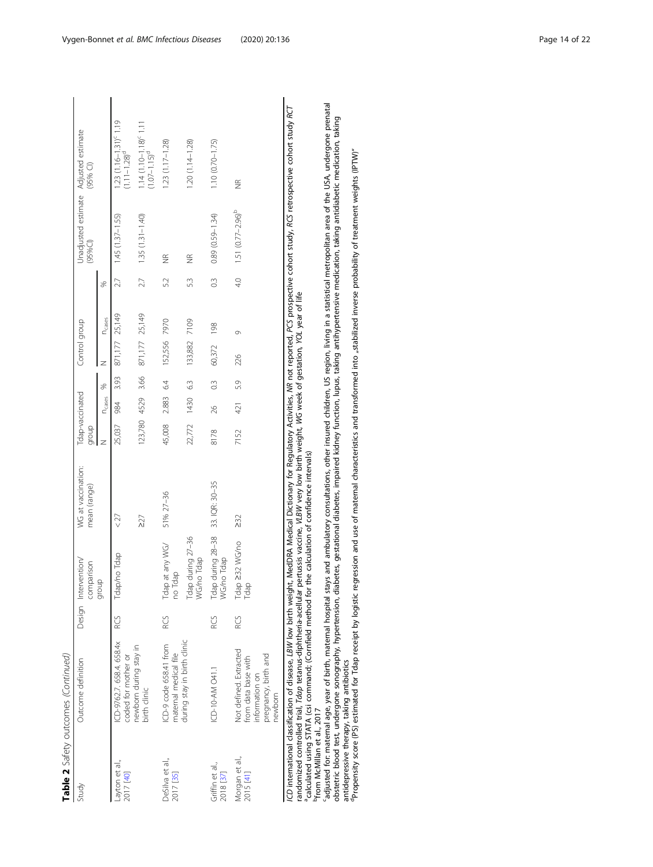| Table 2 Safety outcomes (Continued) | $(95%$ Cl)                                          |                | $1.23$ $(1.16 - 1.31)$ <sup>c</sup> $1.19$<br>$(1.11 - 1.28)$ <sup>d</sup> | $1.14(1.10 - 1.18)^{c}$ 1.11<br>$(1.07 - 1.15)^d$ | $1.23(1.17 - 1.28)$                            | $.20(1.14 - 1.28)$              | $1.10(0.70 - 1.75)$             | $\frac{\alpha}{2}$                                                                                |
|-------------------------------------|-----------------------------------------------------|----------------|----------------------------------------------------------------------------|---------------------------------------------------|------------------------------------------------|---------------------------------|---------------------------------|---------------------------------------------------------------------------------------------------|
|                                     | Unadjusted estimate Adjusted estimate<br>$(95%$ CI) |                | $1.45(1.37 - 1.55)$                                                        | $1.35(1.31 - 1.40)$                               | $\frac{\alpha}{2}$                             | $\frac{\alpha}{2}$              | $0.89(0.59 - 1.34)$             | $1.51 (0.77 - 2.96)^b$                                                                            |
|                                     |                                                     | S              | 27                                                                         | 27                                                | 52                                             | 53                              | $\frac{3}{2}$                   | $\frac{40}{5}$                                                                                    |
|                                     | Control group                                       | <b>N</b> cases | 871,177 25,149                                                             | 871,177 25,149                                    | 7970                                           | 7109                            | 198                             | Ō                                                                                                 |
|                                     |                                                     | z              |                                                                            |                                                   | 152,556                                        | 133,882                         | 60,372                          | 26                                                                                                |
|                                     |                                                     | S              | 3.93                                                                       |                                                   | 64                                             | 1430 6.3                        | $0.\overline{3}$                | 5.9                                                                                               |
|                                     | Tdap-vaccinated                                     | <b>N</b> cases | 984                                                                        | 123,780 4529 3.66                                 | 2.883                                          |                                 | 26                              | 421                                                                                               |
|                                     | dronb                                               | Z              | 25,037                                                                     |                                                   | 45,008                                         | 22,772                          | 8178                            | 7152                                                                                              |
|                                     | WG at vaccination:<br>mean (range)                  |                | $27$                                                                       | $\geq$                                            | 51% 27-36                                      |                                 | 33. IQR: 30-35                  | $\geq$ 32                                                                                         |
|                                     | Intervention/<br>comparison<br>dionb                |                | Tdap/no Tdap                                                               |                                                   | Tdap at any WG/<br>no Tdap                     | Tdap during 27-36<br>WG/no Tdap | Tdap during 28-38<br>WG/no Tdap | Tdap ≥32 WG/no<br>Tdap                                                                            |
|                                     | Design                                              |                | RCS                                                                        |                                                   | RCS                                            |                                 | RCS                             | RCS                                                                                               |
|                                     | Outcome definition                                  |                | CD-9762.7.658.4.658.4x<br>coded for mother or                              | newborn during stay in<br>birth clinic            | CD-9 code 658.41 from<br>maternal medical file | during stay in birth clinic     | CD-10-AM 041.1                  | Not defined. Extracted<br>pregnancy, birth and<br>from data base with<br>nformation on<br>newborn |
|                                     | Study                                               |                | Layton et al.,<br>2017 [40]                                                |                                                   | DeSilva et al.,<br>2017 [35]                   |                                 | Griffin et al.,<br>2018 [37]    | Morgan et al.,<br>2015 [41]                                                                       |

*CD* international classification of disease, *LBW* low birth weight, MedDRA Medical Dictionary for Regulatory Activities, MR not reported, PCS prospective cohort study, RCS retrospective cohort study RCT<br>randomized contro ICD international classification of disease, LBW low birth weight, MedDRA Medical Dictionary for Regulatory Activities, NR not reported, PCS prospective cohort study, RCS retrospective cohort study RCT randomized controlled trial, Tdap tetanus-diphtheria-acellular pertussis vaccine, VLBW very low birth weight, WG week of gestation, YOL year of life acalculated using STATA (csi command; (Cornfield method for the calculation of confidence intervals)

bfrom McMillan et al., 2017

'adjusted for: maternal age, year of birth, maternal hospital stays and ambulatory consultations, other insured children, US region, living in a statistical metropolitan area of the USA, undergone prenatal cadjusted for: maternal age, year of birth, maternal hospital stays and ambulatory consultations, other insured children, US region, living in a statistical metropolitan area of the USA, undergone prenatal obstertic blood test, undergone sonography, hypertension, diabetes, gestational diabetes, impaired kidney function, lupus, taking antihypertensive medication, taking antidiabetic medication, taking<br>antidepressive therapy, obstetric blood test, undergone sonography, hypertension, diabetes, gestational diabetes, impaired kidney function, lupus, taking antidiabetic medication, taking antidiabetic medication, taking antidiabetic medication, tak antidepressive therapy, taking antibiotics<br><sup>d</sup>Propensity score (PS) estimated for Tdap receipt by logistic regression and use of maternal characteristics and transformed into "stabilized inverse probability of treatment we

 $\begin{array}{c} \hline \end{array}$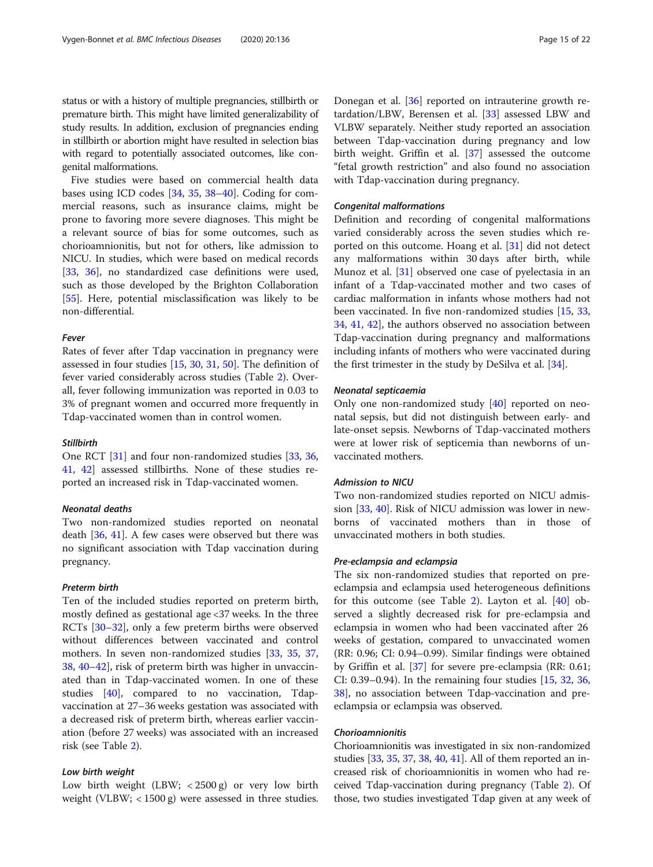status or with a history of multiple pregnancies, stillbirth or premature birth. This might have limited generalizability of study results. In addition, exclusion of pregnancies ending in stillbirth or abortion might have resulted in selection bias with regard to potentially associated outcomes, like congenital malformations.

Five studies were based on commercial health data bases using ICD codes [\[34](#page-20-0), [35,](#page-20-0) [38](#page-20-0)–[40\]](#page-20-0). Coding for commercial reasons, such as insurance claims, might be prone to favoring more severe diagnoses. This might be a relevant source of bias for some outcomes, such as chorioamnionitis, but not for others, like admission to NICU. In studies, which were based on medical records [[33,](#page-20-0) [36\]](#page-20-0), no standardized case definitions were used, such as those developed by the Brighton Collaboration [[55\]](#page-21-0). Here, potential misclassification was likely to be non-differential.

#### Fever

Rates of fever after Tdap vaccination in pregnancy were assessed in four studies [\[15](#page-20-0), [30](#page-20-0), [31,](#page-20-0) [50\]](#page-20-0). The definition of fever varied considerably across studies (Table [2\)](#page-9-0). Overall, fever following immunization was reported in 0.03 to 3% of pregnant women and occurred more frequently in Tdap-vaccinated women than in control women.

#### **Stillbirth**

One RCT [[31\]](#page-20-0) and four non-randomized studies [\[33](#page-20-0), [36](#page-20-0), [41,](#page-20-0) [42\]](#page-20-0) assessed stillbirths. None of these studies reported an increased risk in Tdap-vaccinated women.

# Neonatal deaths

Two non-randomized studies reported on neonatal death [[36,](#page-20-0) [41\]](#page-20-0). A few cases were observed but there was no significant association with Tdap vaccination during pregnancy.

#### Preterm birth

Ten of the included studies reported on preterm birth, mostly defined as gestational age <37 weeks. In the three RCTs [[30](#page-20-0)–[32](#page-20-0)], only a few preterm births were observed without differences between vaccinated and control mothers. In seven non-randomized studies [[33](#page-20-0), [35,](#page-20-0) [37](#page-20-0), [38,](#page-20-0) [40](#page-20-0)–[42](#page-20-0)], risk of preterm birth was higher in unvaccinated than in Tdap-vaccinated women. In one of these studies [\[40\]](#page-20-0), compared to no vaccination, Tdapvaccination at 27–36 weeks gestation was associated with a decreased risk of preterm birth, whereas earlier vaccination (before 27 weeks) was associated with an increased risk (see Table [2](#page-9-0)).

#### Low birth weight

Low birth weight (LBW; < 2500 g) or very low birth weight (VLBW; < 1500 g) were assessed in three studies.

Donegan et al. [[36](#page-20-0)] reported on intrauterine growth retardation/LBW, Berensen et al. [[33\]](#page-20-0) assessed LBW and VLBW separately. Neither study reported an association between Tdap-vaccination during pregnancy and low birth weight. Griffin et al. [\[37](#page-20-0)] assessed the outcome "fetal growth restriction" and also found no association with Tdap-vaccination during pregnancy.

#### Congenital malformations

Definition and recording of congenital malformations varied considerably across the seven studies which reported on this outcome. Hoang et al. [\[31](#page-20-0)] did not detect any malformations within 30 days after birth, while Munoz et al. [\[31\]](#page-20-0) observed one case of pyelectasia in an infant of a Tdap-vaccinated mother and two cases of cardiac malformation in infants whose mothers had not been vaccinated. In five non-randomized studies [\[15](#page-20-0), [33](#page-20-0), [34,](#page-20-0) [41,](#page-20-0) [42\]](#page-20-0), the authors observed no association between Tdap-vaccination during pregnancy and malformations including infants of mothers who were vaccinated during the first trimester in the study by DeSilva et al. [[34\]](#page-20-0).

#### Neonatal septicaemia

Only one non-randomized study [\[40](#page-20-0)] reported on neonatal sepsis, but did not distinguish between early- and late-onset sepsis. Newborns of Tdap-vaccinated mothers were at lower risk of septicemia than newborns of unvaccinated mothers.

#### Admission to NICU

Two non-randomized studies reported on NICU admission [[33,](#page-20-0) [40\]](#page-20-0). Risk of NICU admission was lower in newborns of vaccinated mothers than in those of unvaccinated mothers in both studies.

# Pre-eclampsia and eclampsia

The six non-randomized studies that reported on preeclampsia and eclampsia used heterogeneous definitions for this outcome (see Table [2\)](#page-9-0). Layton et al. [[40\]](#page-20-0) observed a slightly decreased risk for pre-eclampsia and eclampsia in women who had been vaccinated after 26 weeks of gestation, compared to unvaccinated women (RR: 0.96; CI: 0.94–0.99). Similar findings were obtained by Griffin et al. [[37](#page-20-0)] for severe pre-eclampsia (RR: 0.61; CI: 0.39–0.94). In the remaining four studies [\[15,](#page-20-0) [32](#page-20-0), [36](#page-20-0), [38\]](#page-20-0), no association between Tdap-vaccination and preeclampsia or eclampsia was observed.

#### Chorioamnionitis

Chorioamnionitis was investigated in six non-randomized studies [\[33,](#page-20-0) [35](#page-20-0), [37](#page-20-0), [38,](#page-20-0) [40](#page-20-0), [41\]](#page-20-0). All of them reported an increased risk of chorioamnionitis in women who had received Tdap-vaccination during pregnancy (Table [2\)](#page-9-0). Of those, two studies investigated Tdap given at any week of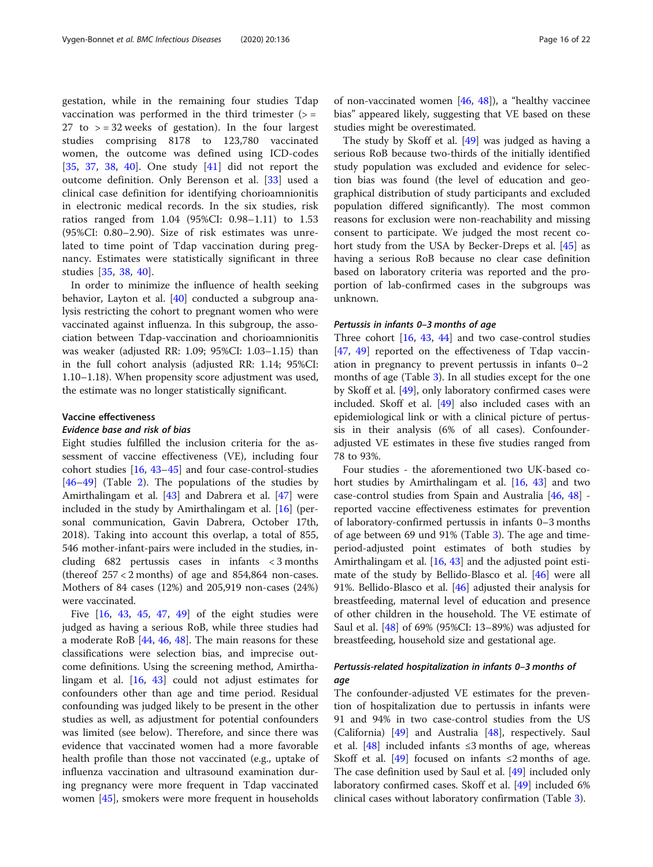gestation, while in the remaining four studies Tdap vaccination was performed in the third trimester  $(>=$ 27 to  $>$  = 32 weeks of gestation). In the four largest studies comprising 8178 to 123,780 vaccinated women, the outcome was defined using ICD-codes [[35,](#page-20-0) [37,](#page-20-0) [38,](#page-20-0) [40](#page-20-0)]. One study [[41\]](#page-20-0) did not report the outcome definition. Only Berenson et al. [\[33](#page-20-0)] used a clinical case definition for identifying chorioamnionitis in electronic medical records. In the six studies, risk ratios ranged from 1.04 (95%CI: 0.98–1.11) to 1.53 (95%CI: 0.80–2.90). Size of risk estimates was unrelated to time point of Tdap vaccination during pregnancy. Estimates were statistically significant in three studies [[35,](#page-20-0) [38,](#page-20-0) [40](#page-20-0)].

In order to minimize the influence of health seeking behavior, Layton et al. [\[40\]](#page-20-0) conducted a subgroup analysis restricting the cohort to pregnant women who were vaccinated against influenza. In this subgroup, the association between Tdap-vaccination and chorioamnionitis was weaker (adjusted RR: 1.09; 95%CI: 1.03–1.15) than in the full cohort analysis (adjusted RR: 1.14; 95%CI: 1.10–1.18). When propensity score adjustment was used, the estimate was no longer statistically significant.

# Vaccine effectiveness

#### Evidence base and risk of bias

Eight studies fulfilled the inclusion criteria for the assessment of vaccine effectiveness (VE), including four cohort studies [[16,](#page-20-0) [43](#page-20-0)–[45\]](#page-20-0) and four case-control-studies [[46](#page-20-0)–[49](#page-20-0)] (Table [2](#page-9-0)). The populations of the studies by Amirthalingam et al. [[43](#page-20-0)] and Dabrera et al. [[47\]](#page-20-0) were included in the study by Amirthalingam et al. [\[16\]](#page-20-0) (personal communication, Gavin Dabrera, October 17th, 2018). Taking into account this overlap, a total of 855, 546 mother-infant-pairs were included in the studies, including 682 pertussis cases in infants < 3 months (thereof  $257 < 2$  months) of age and 854,864 non-cases. Mothers of 84 cases (12%) and 205,919 non-cases (24%) were vaccinated.

Five [\[16,](#page-20-0) [43,](#page-20-0) [45](#page-20-0), [47,](#page-20-0) [49](#page-20-0)] of the eight studies were judged as having a serious RoB, while three studies had a moderate RoB [\[44](#page-20-0), [46](#page-20-0), [48](#page-20-0)]. The main reasons for these classifications were selection bias, and imprecise outcome definitions. Using the screening method, Amirthalingam et al. [\[16](#page-20-0), [43\]](#page-20-0) could not adjust estimates for confounders other than age and time period. Residual confounding was judged likely to be present in the other studies as well, as adjustment for potential confounders was limited (see below). Therefore, and since there was evidence that vaccinated women had a more favorable health profile than those not vaccinated (e.g., uptake of influenza vaccination and ultrasound examination during pregnancy were more frequent in Tdap vaccinated women [\[45\]](#page-20-0), smokers were more frequent in households of non-vaccinated women [\[46](#page-20-0), [48](#page-20-0)]), a "healthy vaccinee bias" appeared likely, suggesting that VE based on these studies might be overestimated.

The study by Skoff et al. [\[49](#page-20-0)] was judged as having a serious RoB because two-thirds of the initially identified study population was excluded and evidence for selection bias was found (the level of education and geographical distribution of study participants and excluded population differed significantly). The most common reasons for exclusion were non-reachability and missing consent to participate. We judged the most recent cohort study from the USA by Becker-Dreps et al. [[45\]](#page-20-0) as having a serious RoB because no clear case definition based on laboratory criteria was reported and the proportion of lab-confirmed cases in the subgroups was unknown.

#### Pertussis in infants 0–3 months of age

Three cohort [[16](#page-20-0), [43,](#page-20-0) [44\]](#page-20-0) and two case-control studies [[47,](#page-20-0) [49](#page-20-0)] reported on the effectiveness of Tdap vaccination in pregnancy to prevent pertussis in infants 0–2 months of age (Table [3](#page-16-0)). In all studies except for the one by Skoff et al. [\[49\]](#page-20-0), only laboratory confirmed cases were included. Skoff et al. [[49\]](#page-20-0) also included cases with an epidemiological link or with a clinical picture of pertussis in their analysis (6% of all cases). Confounderadjusted VE estimates in these five studies ranged from 78 to 93%.

Four studies - the aforementioned two UK-based cohort studies by Amirthalingam et al. [[16](#page-20-0), [43\]](#page-20-0) and two case-control studies from Spain and Australia [[46](#page-20-0), [48](#page-20-0)] reported vaccine effectiveness estimates for prevention of laboratory-confirmed pertussis in infants 0–3 months of age between 69 und 91% (Table [3\)](#page-16-0). The age and timeperiod-adjusted point estimates of both studies by Amirthalingam et al. [\[16](#page-20-0), [43](#page-20-0)] and the adjusted point estimate of the study by Bellido-Blasco et al. [\[46](#page-20-0)] were all 91%. Bellido-Blasco et al. [\[46](#page-20-0)] adjusted their analysis for breastfeeding, maternal level of education and presence of other children in the household. The VE estimate of Saul et al. [\[48\]](#page-20-0) of 69% (95%CI: 13–89%) was adjusted for breastfeeding, household size and gestational age.

# Pertussis-related hospitalization in infants 0–3 months of age

The confounder-adjusted VE estimates for the prevention of hospitalization due to pertussis in infants were 91 and 94% in two case-control studies from the US (California) [\[49\]](#page-20-0) and Australia [\[48](#page-20-0)], respectively. Saul et al.  $[48]$  $[48]$  included infants ≤3 months of age, whereas Skoff et al.  $[49]$  focused on infants  $\leq 2$  months of age. The case definition used by Saul et al. [[49\]](#page-20-0) included only laboratory confirmed cases. Skoff et al. [[49\]](#page-20-0) included 6% clinical cases without laboratory confirmation (Table [3](#page-16-0)).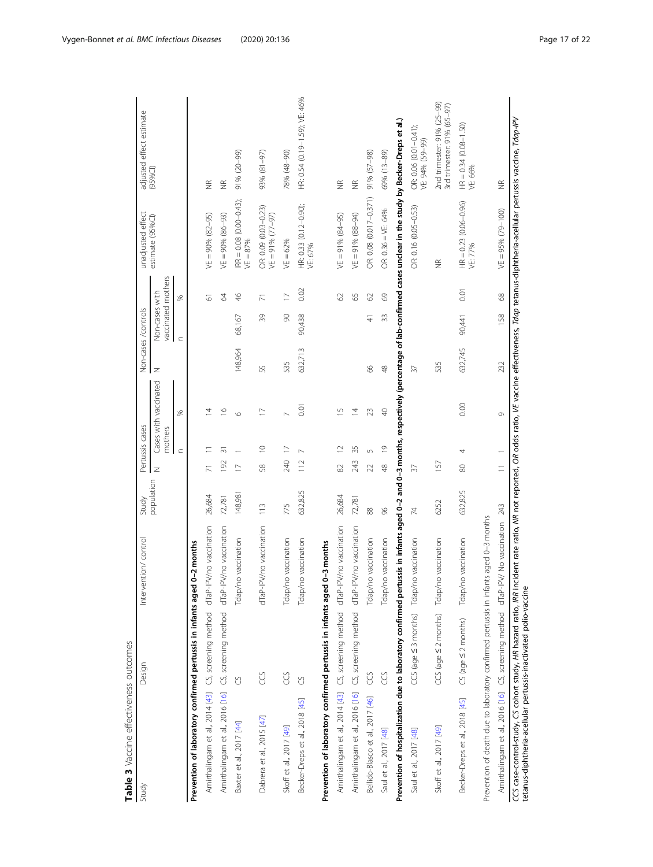<span id="page-16-0"></span>

| Table 3 Vaccine effectiveness outcomes                                                                                                                                                              |                          |                                          |                |                |                 |                       |               |                                      |                |                                             |                                                                                                                                              |
|-----------------------------------------------------------------------------------------------------------------------------------------------------------------------------------------------------|--------------------------|------------------------------------------|----------------|----------------|-----------------|-----------------------|---------------|--------------------------------------|----------------|---------------------------------------------|----------------------------------------------------------------------------------------------------------------------------------------------|
| Study                                                                                                                                                                                               | Design                   | Intervention/control                     | Study          |                | Pertussis cases |                       |               | Non-cases /controls                  |                | unadjusted effect                           | adjusted effect estimate                                                                                                                     |
|                                                                                                                                                                                                     |                          |                                          | population     | $\overline{z}$ | mothers         | Cases with vaccinated | Z             | vaccinated mothers<br>Non-cases with |                | estimate (95%CI)                            | (95%C)                                                                                                                                       |
|                                                                                                                                                                                                     |                          |                                          |                |                | $\subset$       | S,                    |               | $\subset$                            | S,             |                                             |                                                                                                                                              |
| Prevention of laboratory confirmed pertussis in infants aged 0-2 months                                                                                                                             |                          |                                          |                |                |                 |                       |               |                                      |                |                                             |                                                                                                                                              |
| Amirthalingam et al., 2014 [43] CS, screening method dTaP-IPV/no vaccination                                                                                                                        |                          |                                          | 26,684         |                |                 | 4                     |               |                                      | 5              | $VE = 90\% (82 - 95)$                       | $\frac{\alpha}{2}$                                                                                                                           |
| Amirthalingam et al., 2016 [16] CS, screening method dTaP-IPV/no vaccination                                                                                                                        |                          |                                          | 72,781         | 192            | 등               | $\approx$             |               |                                      | $\mathcal{Z}$  | $VE = 90\%$ (86-93)                         | $\frac{\alpha}{2}$                                                                                                                           |
| Baxter et al., 2017 [44]                                                                                                                                                                            | U                        | Tdap/no vaccination                      | 148,981        | $\overline{C}$ |                 | $\circ$               | 148,964       | 68,167                               | $\frac{4}{6}$  | $RR = 0.08$ $(0.00 - 0.43)$ ;<br>$VE = 87%$ | $(66 - 02)$ % (5)                                                                                                                            |
| Dabrera et al., 2015 [47]                                                                                                                                                                           | g                        | dTaP-IPV/no vaccination                  | 113            | 58             | $\supseteq$     | $\Box$                | 55            | 39                                   | $\overline{7}$ | OR: 0.09 (0.03-0.23)<br>VE = 91% (77-97)    | 93% (81-97)                                                                                                                                  |
| Skoff et al., 2017 [49]                                                                                                                                                                             | g                        | Tdap/no vaccination                      | 775            | 240            | $\overline{1}$  |                       | 535           | $\infty$                             | $\overline{1}$ | $VE = 62%$                                  | 78% (48-90)                                                                                                                                  |
| Becker-Dreps et al., 2018 [45]                                                                                                                                                                      | U                        | Tdap/no vaccination                      | 632,825        | 112            |                 | 0.01                  | 632,713       | 90,438                               | 0.02           | HR: 0.33 (0.12-0.90);<br>VE: 67%            | HR: 0.54 (0.19-1.59); VE: 46%                                                                                                                |
| Prevention of laboratory confirmed pertussis in infants aged 0-3 months                                                                                                                             |                          |                                          |                |                |                 |                       |               |                                      |                |                                             |                                                                                                                                              |
| Amirthalingam et al., 2014 [43] CS, screening method dTaP-IPV/no vaccination                                                                                                                        |                          |                                          | 26,684         | 82             | $\supseteq$     | $\overline{1}$        |               |                                      | 29             | $VE = 91\% (84 - 95)$                       | $\frac{\alpha}{2}$                                                                                                                           |
| Amirthalingam et al., 2016 [16] CS, screening method dTaP-IPV/no vaccination                                                                                                                        |                          |                                          | 72,781         | 243            | 35              | $\overline{4}$        |               |                                      | 59             | $VE = 91\% (88 - 94)$                       | $\widetilde{\Xi}$                                                                                                                            |
| Bellido-Blasco et al., 2017 [46]                                                                                                                                                                    | CCS                      | Tdap/no vaccination                      | 88             | $\mathfrak{Z}$ | 5               | 23                    | 8             | $\frac{4}{1}$                        | $\odot$        | OR: 0.08 (0.017-0.371)                      | $91\% (57 - 98)$                                                                                                                             |
| Saul et al., 2017 [48]                                                                                                                                                                              | g                        | Tdap/no vaccination                      | 8 <sup>o</sup> | $\frac{8}{3}$  | $\overline{0}$  | $\triangleleft$       | $\frac{8}{3}$ | 33                                   | $69$           | OR: 0.36 = VE: 64%                          | 69% (13-89)                                                                                                                                  |
| Prevention of hospitalization due to laboratory confirmed pertussis in infants aged 0-2 and 0-3 months, respectively (percentage of lab-confirmed cases undear in the study by Becker-Dreps et al.) |                          |                                          |                |                |                 |                       |               |                                      |                |                                             |                                                                                                                                              |
| Saul et al., 2017 [48]                                                                                                                                                                              |                          | CCS (age < 3 months) Tdap/no vaccination | 74             | $\sqrt{2}$     |                 |                       | $\sqrt{2}$    |                                      |                | OR: 0.16 (0.05-0.53)                        | OR: 0.06 (0.01-0.41);<br>VE: 94% (59-99)                                                                                                     |
| Skoff et al., 2017 [49]                                                                                                                                                                             |                          | CCS (age < 2 months) Tdap/no vaccination | 6252           | 157            |                 |                       | 535           |                                      |                | $\frac{\alpha}{2}$                          | 2nd trimester: 91% (25-99)<br>3rd trimester: 91% (65-97)                                                                                     |
| Becker-Dreps et al., 2018 [45]                                                                                                                                                                      | CS (age $\leq$ 2 months) | Tdap/no vaccination                      | 632,825        | 80             | 4               | 0.00                  | 632,745       | 90,441                               | 0.01           | HR = 0.23 (0.06-0.96)<br>VE: 77%            | HR = 0.34 (0.08-1.50)<br>VE: 66%                                                                                                             |
| Prevention of death due to laboratory confirmed pertussis in infants aged 0-3 months                                                                                                                |                          |                                          |                |                |                 |                       |               |                                      |                |                                             |                                                                                                                                              |
| Amirthalingam et al., 2016 [16] CS, screening method dTaP-IPV/ No vaccination 243                                                                                                                   |                          |                                          |                | $\overline{1}$ |                 | Ō                     | 232           | 158                                  | 68             | $VE = 95\% (79 - 100)$                      | $\frac{\alpha}{2}$                                                                                                                           |
| tetanus-diphtheria-acellular pertussis-inactivated polio-vaccine<br>CCS case-control-study, CS cohort study, HR hazard ratio, IRR                                                                   |                          |                                          |                |                |                 |                       |               |                                      |                |                                             | incident rate ratio, MR not reported, OR odds ratio, VE vaccine effectiveness, Tdap tetanus-diphtheria-acellular pertussis vaccine, Tdap-IPV |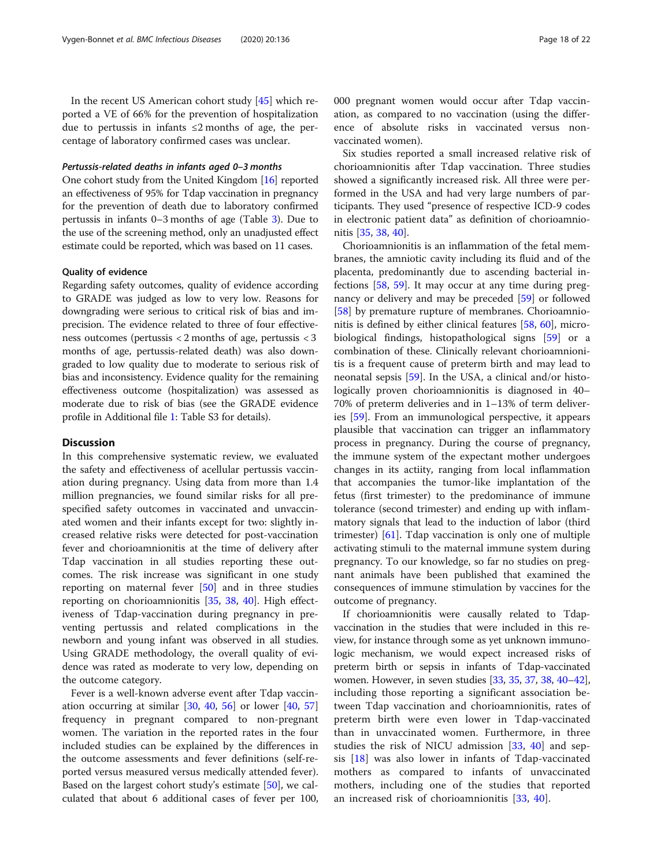In the recent US American cohort study [[45\]](#page-20-0) which reported a VE of 66% for the prevention of hospitalization due to pertussis in infants  $≤2$  months of age, the percentage of laboratory confirmed cases was unclear.

#### Pertussis-related deaths in infants aged 0–3 months

One cohort study from the United Kingdom [[16](#page-20-0)] reported an effectiveness of 95% for Tdap vaccination in pregnancy for the prevention of death due to laboratory confirmed pertussis in infants 0–3 months of age (Table [3\)](#page-16-0). Due to the use of the screening method, only an unadjusted effect estimate could be reported, which was based on 11 cases.

#### Quality of evidence

Regarding safety outcomes, quality of evidence according to GRADE was judged as low to very low. Reasons for downgrading were serious to critical risk of bias and imprecision. The evidence related to three of four effectiveness outcomes (pertussis < 2 months of age, pertussis < 3 months of age, pertussis-related death) was also downgraded to low quality due to moderate to serious risk of bias and inconsistency. Evidence quality for the remaining effectiveness outcome (hospitalization) was assessed as moderate due to risk of bias (see the GRADE evidence profile in Additional file [1:](#page-19-0) Table S3 for details).

# **Discussion**

In this comprehensive systematic review, we evaluated the safety and effectiveness of acellular pertussis vaccination during pregnancy. Using data from more than 1.4 million pregnancies, we found similar risks for all prespecified safety outcomes in vaccinated and unvaccinated women and their infants except for two: slightly increased relative risks were detected for post-vaccination fever and chorioamnionitis at the time of delivery after Tdap vaccination in all studies reporting these outcomes. The risk increase was significant in one study reporting on maternal fever [[50\]](#page-20-0) and in three studies reporting on chorioamnionitis [[35,](#page-20-0) [38](#page-20-0), [40](#page-20-0)]. High effectiveness of Tdap-vaccination during pregnancy in preventing pertussis and related complications in the newborn and young infant was observed in all studies. Using GRADE methodology, the overall quality of evidence was rated as moderate to very low, depending on the outcome category.

Fever is a well-known adverse event after Tdap vaccination occurring at similar  $[30, 40, 56]$  $[30, 40, 56]$  $[30, 40, 56]$  $[30, 40, 56]$  $[30, 40, 56]$  $[30, 40, 56]$  $[30, 40, 56]$  or lower  $[40, 57]$  $[40, 57]$  $[40, 57]$  $[40, 57]$  $[40, 57]$ frequency in pregnant compared to non-pregnant women. The variation in the reported rates in the four included studies can be explained by the differences in the outcome assessments and fever definitions (self-reported versus measured versus medically attended fever). Based on the largest cohort study's estimate [\[50](#page-20-0)], we calculated that about 6 additional cases of fever per 100, 000 pregnant women would occur after Tdap vaccination, as compared to no vaccination (using the difference of absolute risks in vaccinated versus nonvaccinated women).

Six studies reported a small increased relative risk of chorioamnionitis after Tdap vaccination. Three studies showed a significantly increased risk. All three were performed in the USA and had very large numbers of participants. They used "presence of respective ICD-9 codes in electronic patient data" as definition of chorioamnionitis [\[35](#page-20-0), [38](#page-20-0), [40\]](#page-20-0).

Chorioamnionitis is an inflammation of the fetal membranes, the amniotic cavity including its fluid and of the placenta, predominantly due to ascending bacterial infections [\[58](#page-21-0), [59\]](#page-21-0). It may occur at any time during pregnancy or delivery and may be preceded [\[59](#page-21-0)] or followed [[58\]](#page-21-0) by premature rupture of membranes. Chorioamnionitis is defined by either clinical features [[58,](#page-21-0) [60\]](#page-21-0), microbiological findings, histopathological signs [[59\]](#page-21-0) or a combination of these. Clinically relevant chorioamnionitis is a frequent cause of preterm birth and may lead to neonatal sepsis [[59\]](#page-21-0). In the USA, a clinical and/or histologically proven chorioamnionitis is diagnosed in 40– 70% of preterm deliveries and in 1–13% of term deliveries [[59](#page-21-0)]. From an immunological perspective, it appears plausible that vaccination can trigger an inflammatory process in pregnancy. During the course of pregnancy, the immune system of the expectant mother undergoes changes in its actiity, ranging from local inflammation that accompanies the tumor-like implantation of the fetus (first trimester) to the predominance of immune tolerance (second trimester) and ending up with inflammatory signals that lead to the induction of labor (third trimester) [\[61](#page-21-0)]. Tdap vaccination is only one of multiple activating stimuli to the maternal immune system during pregnancy. To our knowledge, so far no studies on pregnant animals have been published that examined the consequences of immune stimulation by vaccines for the outcome of pregnancy.

If chorioamnionitis were causally related to Tdapvaccination in the studies that were included in this review, for instance through some as yet unknown immunologic mechanism, we would expect increased risks of preterm birth or sepsis in infants of Tdap-vaccinated women. However, in seven studies [[33](#page-20-0), [35,](#page-20-0) [37,](#page-20-0) [38](#page-20-0), [40](#page-20-0)–[42](#page-20-0)], including those reporting a significant association between Tdap vaccination and chorioamnionitis, rates of preterm birth were even lower in Tdap-vaccinated than in unvaccinated women. Furthermore, in three studies the risk of NICU admission [[33](#page-20-0), [40\]](#page-20-0) and sepsis [\[18](#page-20-0)] was also lower in infants of Tdap-vaccinated mothers as compared to infants of unvaccinated mothers, including one of the studies that reported an increased risk of chorioamnionitis [[33,](#page-20-0) [40](#page-20-0)].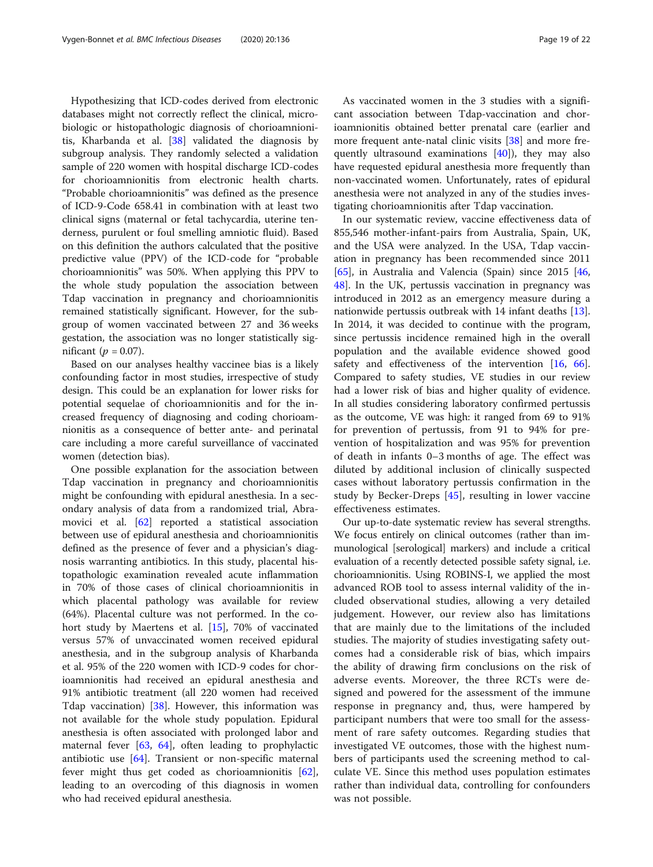Hypothesizing that ICD-codes derived from electronic databases might not correctly reflect the clinical, microbiologic or histopathologic diagnosis of chorioamnionitis, Kharbanda et al. [[38\]](#page-20-0) validated the diagnosis by subgroup analysis. They randomly selected a validation sample of 220 women with hospital discharge ICD-codes for chorioamnionitis from electronic health charts. "Probable chorioamnionitis" was defined as the presence of ICD-9-Code 658.41 in combination with at least two clinical signs (maternal or fetal tachycardia, uterine tenderness, purulent or foul smelling amniotic fluid). Based on this definition the authors calculated that the positive predictive value (PPV) of the ICD-code for "probable chorioamnionitis" was 50%. When applying this PPV to the whole study population the association between Tdap vaccination in pregnancy and chorioamnionitis remained statistically significant. However, for the subgroup of women vaccinated between 27 and 36 weeks gestation, the association was no longer statistically significant ( $p = 0.07$ ).

Based on our analyses healthy vaccinee bias is a likely confounding factor in most studies, irrespective of study design. This could be an explanation for lower risks for potential sequelae of chorioamnionitis and for the increased frequency of diagnosing and coding chorioamnionitis as a consequence of better ante- and perinatal care including a more careful surveillance of vaccinated women (detection bias).

One possible explanation for the association between Tdap vaccination in pregnancy and chorioamnionitis might be confounding with epidural anesthesia. In a secondary analysis of data from a randomized trial, Abramovici et al. [\[62\]](#page-21-0) reported a statistical association between use of epidural anesthesia and chorioamnionitis defined as the presence of fever and a physician's diagnosis warranting antibiotics. In this study, placental histopathologic examination revealed acute inflammation in 70% of those cases of clinical chorioamnionitis in which placental pathology was available for review (64%). Placental culture was not performed. In the cohort study by Maertens et al. [\[15\]](#page-20-0), 70% of vaccinated versus 57% of unvaccinated women received epidural anesthesia, and in the subgroup analysis of Kharbanda et al. 95% of the 220 women with ICD-9 codes for chorioamnionitis had received an epidural anesthesia and 91% antibiotic treatment (all 220 women had received Tdap vaccination)  $[38]$  $[38]$ . However, this information was not available for the whole study population. Epidural anesthesia is often associated with prolonged labor and maternal fever [[63,](#page-21-0) [64](#page-21-0)], often leading to prophylactic antibiotic use [[64](#page-21-0)]. Transient or non-specific maternal fever might thus get coded as chorioamnionitis [\[62](#page-21-0)], leading to an overcoding of this diagnosis in women who had received epidural anesthesia.

As vaccinated women in the 3 studies with a significant association between Tdap-vaccination and chorioamnionitis obtained better prenatal care (earlier and more frequent ante-natal clinic visits [\[38](#page-20-0)] and more frequently ultrasound examinations [\[40](#page-20-0)]), they may also have requested epidural anesthesia more frequently than non-vaccinated women. Unfortunately, rates of epidural anesthesia were not analyzed in any of the studies investigating chorioamnionitis after Tdap vaccination.

In our systematic review, vaccine effectiveness data of 855,546 mother-infant-pairs from Australia, Spain, UK, and the USA were analyzed. In the USA, Tdap vaccination in pregnancy has been recommended since 2011 [[65\]](#page-21-0), in Australia and Valencia (Spain) since 2015 [[46](#page-20-0), [48\]](#page-20-0). In the UK, pertussis vaccination in pregnancy was introduced in 2012 as an emergency measure during a nationwide pertussis outbreak with 14 infant deaths [\[13](#page-20-0)]. In 2014, it was decided to continue with the program, since pertussis incidence remained high in the overall population and the available evidence showed good safety and effectiveness of the intervention [\[16,](#page-20-0) [66](#page-21-0)]. Compared to safety studies, VE studies in our review had a lower risk of bias and higher quality of evidence. In all studies considering laboratory confirmed pertussis as the outcome, VE was high: it ranged from 69 to 91% for prevention of pertussis, from 91 to 94% for prevention of hospitalization and was 95% for prevention of death in infants 0–3 months of age. The effect was diluted by additional inclusion of clinically suspected cases without laboratory pertussis confirmation in the study by Becker-Dreps [[45\]](#page-20-0), resulting in lower vaccine effectiveness estimates.

Our up-to-date systematic review has several strengths. We focus entirely on clinical outcomes (rather than immunological [serological] markers) and include a critical evaluation of a recently detected possible safety signal, i.e. chorioamnionitis. Using ROBINS-I, we applied the most advanced ROB tool to assess internal validity of the included observational studies, allowing a very detailed judgement. However, our review also has limitations that are mainly due to the limitations of the included studies. The majority of studies investigating safety outcomes had a considerable risk of bias, which impairs the ability of drawing firm conclusions on the risk of adverse events. Moreover, the three RCTs were designed and powered for the assessment of the immune response in pregnancy and, thus, were hampered by participant numbers that were too small for the assessment of rare safety outcomes. Regarding studies that investigated VE outcomes, those with the highest numbers of participants used the screening method to calculate VE. Since this method uses population estimates rather than individual data, controlling for confounders was not possible.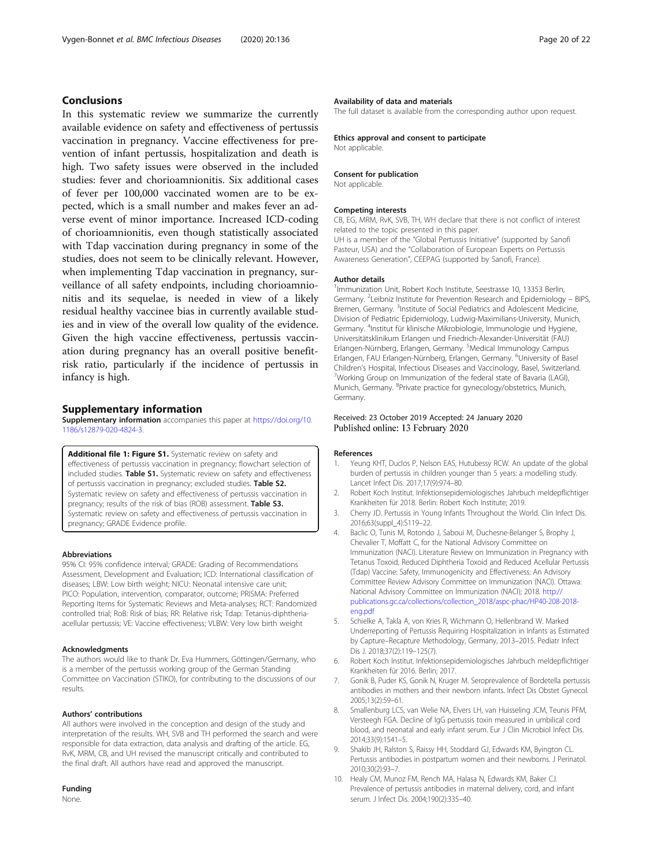# <span id="page-19-0"></span>Conclusions

In this systematic review we summarize the currently available evidence on safety and effectiveness of pertussis vaccination in pregnancy. Vaccine effectiveness for prevention of infant pertussis, hospitalization and death is high. Two safety issues were observed in the included studies: fever and chorioamnionitis. Six additional cases of fever per 100,000 vaccinated women are to be expected, which is a small number and makes fever an adverse event of minor importance. Increased ICD-coding of chorioamnionitis, even though statistically associated with Tdap vaccination during pregnancy in some of the studies, does not seem to be clinically relevant. However, when implementing Tdap vaccination in pregnancy, surveillance of all safety endpoints, including chorioamnionitis and its sequelae, is needed in view of a likely residual healthy vaccinee bias in currently available studies and in view of the overall low quality of the evidence. Given the high vaccine effectiveness, pertussis vaccination during pregnancy has an overall positive benefitrisk ratio, particularly if the incidence of pertussis in infancy is high.

#### Supplementary information

Supplementary information accompanies this paper at [https://doi.org/10.](https://doi.org/10.1186/s12879-020-4824-3) [1186/s12879-020-4824-3.](https://doi.org/10.1186/s12879-020-4824-3)

Additional file 1: Figure S1. Systematic review on safety and effectiveness of pertussis vaccination in pregnancy; flowchart selection of included studies. Table S1. Systematic review on safety and effectiveness of pertussis vaccination in pregnancy; excluded studies. Table S2. Systematic review on safety and effectiveness of pertussis vaccination in pregnancy; results of the risk of bias (ROB) assessment. Table S3. Systematic review on safety and effectiveness of pertussis vaccination in pregnancy; GRADE Evidence profile.

#### Abbreviations

95% CI: 95% confidence interval; GRADE: Grading of Recommendations Assessment, Development and Evaluation; ICD: International classification of diseases; LBW: Low birth weight; NICU: Neonatal intensive care unit; PICO: Population, intervention, comparator, outcome; PRISMA: Preferred Reporting Items for Systematic Reviews and Meta-analyses; RCT: Randomized controlled trial; RoB: Risk of bias; RR: Relative risk; Tdap: Tetanus-diphtheriaacellular pertussis; VE: Vaccine effectiveness; VLBW: Very low birth weight

#### Acknowledgments

The authors would like to thank Dr. Eva Hummers, Göttingen/Germany, who is a member of the pertussis working group of the German Standing Committee on Vaccination (STIKO), for contributing to the discussions of our results.

#### Authors' contributions

All authors were involved in the conception and design of the study and interpretation of the results. WH, SVB and TH performed the search and were responsible for data extraction, data analysis and drafting of the article. EG, RvK, MRM, CB, and UH revised the manuscript critically and contributed to the final draft. All authors have read and approved the manuscript.

#### Funding

None.

#### Availability of data and materials

The full dataset is available from the corresponding author upon request.

#### Ethics approval and consent to participate

Not applicable.

#### Consent for publication

Not applicable.

#### Competing interests

CB, EG, MRM, RvK, SVB, TH, WH declare that there is not conflict of interest related to the topic presented in this paper. UH is a member of the "Global Pertussis Initiative" (supported by Sanofi Pasteur, USA) and the "Collaboration of European Experts on Pertussis Awareness Generation", CEEPAG (supported by Sanofi, France).

#### Author details

<sup>1</sup> Immunization Unit, Robert Koch Institute, Seestrasse 10, 13353 Berlin Germany. <sup>2</sup>Leibniz Institute for Prevention Research and Epidemiology - BIPS Bremen, Germany. <sup>3</sup>Institute of Social Pediatrics and Adolescent Medicine Division of Pediatric Epidemiology, Ludwig-Maximilians-University, Munich, Germany. <sup>4</sup> Institut für klinische Mikrobiologie, Immunologie und Hygiene, Universitätsklinikum Erlangen und Friedrich-Alexander-Universität (FAU) Erlangen-Nürnberg, Erlangen, Germany. <sup>5</sup>Medical Immunology Campus Erlangen, FAU Erlangen-Nürnberg, Erlangen, Germany. <sup>6</sup>University of Basel Children's Hospital, Infectious Diseases and Vaccinology, Basel, Switzerland. <sup>7</sup> <sup>7</sup>Working Group on Immunization of the federal state of Bavaria (LAGI), Munich, Germany. <sup>8</sup>Private practice for gynecology/obstetrics, Munich, Germany.

#### Received: 23 October 2019 Accepted: 24 January 2020 Published online: 13 February 2020

#### References

- 1. Yeung KHT, Duclos P, Nelson EAS, Hutubessy RCW. An update of the global burden of pertussis in children younger than 5 years: a modelling study. Lancet Infect Dis. 2017;17(9):974–80.
- 2. Robert Koch Institut. Infektionsepidemiologisches Jahrbuch meldepflichtiger Krankheiten für 2018. Berlin: Robert Koch Institute; 2019.
- 3. Cherry JD. Pertussis in Young Infants Throughout the World. Clin Infect Dis. 2016;63(suppl\_4):S119–22.
- 4. Baclic O, Tunis M, Rotondo J, Saboui M, Duchesne-Belanger S, Brophy J, Chevalier T, Moffatt C, for the National Advisory Committee on Immunization (NACI). Literature Review on Immunization in Pregnancy with Tetanus Toxoid, Reduced Diphtheria Toxoid and Reduced Acellular Pertussis (Tdap) Vaccine: Safety, Immunogenicity and Effectiveness: An Advisory Committee Review Advisory Committee on Immunization (NACI). Ottawa: National Advisory Committee on Immunization (NACI); 2018. [http://](http://publications.gc.ca/collections/collection_2018/aspc-phac/HP40-208-2018-eng.pdf) [publications.gc.ca/collections/collection\\_2018/aspc-phac/HP40-208-2018](http://publications.gc.ca/collections/collection_2018/aspc-phac/HP40-208-2018-eng.pdf) [eng.pdf](http://publications.gc.ca/collections/collection_2018/aspc-phac/HP40-208-2018-eng.pdf)
- 5. Schielke A, Takla A, von Kries R, Wichmann O, Hellenbrand W. Marked Underreporting of Pertussis Requiring Hospitalization in Infants as Estimated by Capture–Recapture Methodology, Germany, 2013–2015. Pediatr Infect Dis J. 2018;37(2):119–125(7).
- 6. Robert Koch Institut. Infektionsepidemiologisches Jahrbuch meldepflichtiger Krankheiten für 2016. Berlin; 2017.
- 7. Gonik B, Puder KS, Gonik N, Kruger M. Seroprevalence of Bordetella pertussis antibodies in mothers and their newborn infants. Infect Dis Obstet Gynecol. 2005;13(2):59–61.
- 8. Smallenburg LCS, van Welie NA, Elvers LH, van Huisseling JCM, Teunis PFM, Versteegh FGA. Decline of IgG pertussis toxin measured in umbilical cord blood, and neonatal and early infant serum. Eur J Clin Microbiol Infect Dis. 2014;33(9):1541–5.
- 9. Shakib JH, Ralston S, Raissy HH, Stoddard GJ, Edwards KM, Byington CL. Pertussis antibodies in postpartum women and their newborns. J Perinatol. 2010;30(2):93–7.
- 10. Healy CM, Munoz FM, Rench MA, Halasa N, Edwards KM, Baker CJ. Prevalence of pertussis antibodies in maternal delivery, cord, and infant serum. J Infect Dis. 2004;190(2):335–40.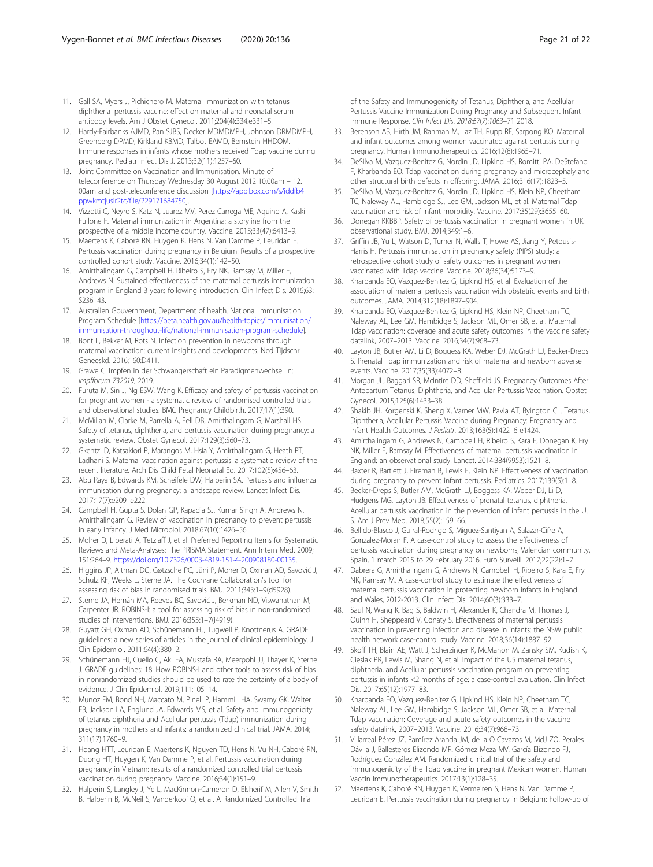- <span id="page-20-0"></span>11. Gall SA, Myers J, Pichichero M. Maternal immunization with tetanus– diphtheria–pertussis vaccine: effect on maternal and neonatal serum antibody levels. Am J Obstet Gynecol. 2011;204(4):334.e331–5.
- 12. Hardy-Fairbanks AJMD, Pan SJBS, Decker MDMDMPH, Johnson DRMDMPH, Greenberg DPMD, Kirkland KBMD, Talbot EAMD, Bernstein HHDOM. Immune responses in infants whose mothers received Tdap vaccine during pregnancy. Pediatr Infect Dis J. 2013;32(11):1257–60.
- 13. Joint Committee on Vaccination and Immunisation. Minute of teleconference on Thursday Wednesday 30 August 2012 10.00am – 12. 00am and post-teleconference discussion [\[https://app.box.com/s/iddfb4](https://app.box.com/s/iddfb4ppwkmtjusir2tc/file/229171684750) [ppwkmtjusir2tc/file/229171684750\]](https://app.box.com/s/iddfb4ppwkmtjusir2tc/file/229171684750).
- 14. Vizzotti C, Neyro S, Katz N, Juarez MV, Perez Carrega ME, Aquino A, Kaski Fullone F. Maternal immunization in Argentina: a storyline from the prospective of a middle income country. Vaccine. 2015;33(47):6413–9.
- 15. Maertens K, Caboré RN, Huygen K, Hens N, Van Damme P, Leuridan E. Pertussis vaccination during pregnancy in Belgium: Results of a prospective controlled cohort study. Vaccine. 2016;34(1):142–50.
- 16. Amirthalingam G, Campbell H, Ribeiro S, Fry NK, Ramsay M, Miller E, Andrews N. Sustained effectiveness of the maternal pertussis immunization program in England 3 years following introduction. Clin Infect Dis. 2016;63: S236–43.
- 17. Australien Gouvernment, Department of health. National Immunisation Program Schedule [\[https://beta.health.gov.au/health-topics/immunisation/](https://beta.health.gov.au/health-topics/immunisation/immunisation-throughout-life/national-immunisation-program-schedule) [immunisation-throughout-life/national-immunisation-program-schedule](https://beta.health.gov.au/health-topics/immunisation/immunisation-throughout-life/national-immunisation-program-schedule)].
- 18. Bont L, Bekker M, Rots N. Infection prevention in newborns through maternal vaccination: current insights and developments. Ned Tijdschr Geneeskd. 2016;160:D411.
- 19. Grawe C. Impfen in der Schwangerschaft ein Paradigmenwechsel In: Impfforum 732019; 2019.
- 20. Furuta M, Sin J, Ng ESW, Wang K. Efficacy and safety of pertussis vaccination for pregnant women - a systematic review of randomised controlled trials and observational studies. BMC Pregnancy Childbirth. 2017;17(1):390.
- 21. McMillan M, Clarke M, Parrella A, Fell DB, Amirthalingam G, Marshall HS. Safety of tetanus, diphtheria, and pertussis vaccination during pregnancy: a systematic review. Obstet Gynecol. 2017;129(3):560–73.
- 22. Gkentzi D, Katsakiori P, Marangos M, Hsia Y, Amirthalingam G, Heath PT, Ladhani S. Maternal vaccination against pertussis: a systematic review of the recent literature. Arch Dis Child Fetal Neonatal Ed. 2017;102(5):456–63.
- 23. Abu Raya B, Edwards KM, Scheifele DW, Halperin SA. Pertussis and influenza immunisation during pregnancy: a landscape review. Lancet Infect Dis. 2017;17(7):e209–e222.
- 24. Campbell H, Gupta S, Dolan GP, Kapadia SJ, Kumar Singh A, Andrews N, Amirthalingam G. Review of vaccination in pregnancy to prevent pertussis in early infancy. J Med Microbiol. 2018;67(10):1426–56.
- 25. Moher D, Liberati A, Tetzlaff J, et al. Preferred Reporting Items for Systematic Reviews and Meta-Analyses: The PRISMA Statement. Ann Intern Med. 2009; 151:264–9. [https://doi.org/10.7326/0003-4819-151-4-200908180-00135.](https://doi.org/10.7326/0003-4819-151-4-200908180-00135)
- 26. Higgins JP, Altman DG, Gøtzsche PC, Jüni P, Moher D, Oxman AD, Savović J, Schulz KF, Weeks L, Sterne JA. The Cochrane Collaboration's tool for assessing risk of bias in randomised trials. BMJ. 2011;343:1–9(d5928).
- 27. Sterne JA, Hernán MA, Reeves BC, Savović J, Berkman ND, Viswanathan M, Carpenter JR. ROBINS-I: a tool for assessing risk of bias in non-randomised studies of interventions. BMJ. 2016;355:1–7(i4919).
- 28. Guyatt GH, Oxman AD, Schünemann HJ, Tugwell P, Knottnerus A. GRADE guidelines: a new series of articles in the journal of clinical epidemiology. J Clin Epidemiol. 2011;64(4):380–2.
- 29. Schünemann HJ, Cuello C, Akl EA, Mustafa RA, Meerpohl JJ, Thayer K, Sterne J. GRADE guidelines: 18. How ROBINS-I and other tools to assess risk of bias in nonrandomized studies should be used to rate the certainty of a body of evidence. J Clin Epidemiol. 2019;111:105–14.
- 30. Munoz FM, Bond NH, Maccato M, Pinell P, Hammill HA, Swamy GK, Walter EB, Jackson LA, Englund JA, Edwards MS, et al. Safety and immunogenicity of tetanus diphtheria and Acellular pertussis (Tdap) immunization during pregnancy in mothers and infants: a randomized clinical trial. JAMA. 2014; 311(17):1760–9.
- 31. Hoang HTT, Leuridan E, Maertens K, Nguyen TD, Hens N, Vu NH, Caboré RN, Duong HT, Huygen K, Van Damme P, et al. Pertussis vaccination during pregnancy in Vietnam: results of a randomized controlled trial pertussis vaccination during pregnancy. Vaccine. 2016;34(1):151–9.
- 32. Halperin S, Langley J, Ye L, MacKinnon-Cameron D, Elsherif M, Allen V, Smith B, Halperin B, McNeil S, Vanderkooi O, et al. A Randomized Controlled Trial

of the Safety and Immunogenicity of Tetanus, Diphtheria, and Acellular Pertussis Vaccine Immunization During Pregnancy and Subsequent Infant Immune Response. Clin Infect Dis. 2018;67(7):1063–71 2018.

- 33. Berenson AB, Hirth JM, Rahman M, Laz TH, Rupp RE, Sarpong KO. Maternal and infant outcomes among women vaccinated against pertussis during pregnancy. Human Immunotherapeutics. 2016;12(8):1965–71.
- 34. DeSilva M, Vazquez-Benitez G, Nordin JD, Lipkind HS, Romitti PA, DeStefano F, Kharbanda EO. Tdap vaccination during pregnancy and microcephaly and other structural birth defects in offspring. JAMA. 2016;316(17):1823–5.
- 35. DeSilva M, Vazquez-Benitez G, Nordin JD, Lipkind HS, Klein NP, Cheetham TC, Naleway AL, Hambidge SJ, Lee GM, Jackson ML, et al. Maternal Tdap vaccination and risk of infant morbidity. Vaccine. 2017;35(29):3655–60.
- 36. Donegan KKBBP. Safety of pertussis vaccination in pregnant women in UK: observational study. BMJ. 2014;349:1–6.
- 37. Griffin JB, Yu L, Watson D, Turner N, Walls T, Howe AS, Jiang Y, Petousis-Harris H. Pertussis immunisation in pregnancy safety (PIPS) study: a retrospective cohort study of safety outcomes in pregnant women vaccinated with Tdap vaccine. Vaccine. 2018;36(34):5173–9.
- 38. Kharbanda EO, Vazquez-Benitez G, Lipkind HS, et al. Evaluation of the association of maternal pertussis vaccination with obstetric events and birth outcomes. JAMA. 2014;312(18):1897–904.
- Kharbanda EO, Vazquez-Benitez G, Lipkind HS, Klein NP, Cheetham TC, Naleway AL, Lee GM, Hambidge S, Jackson ML, Omer SB, et al. Maternal Tdap vaccination: coverage and acute safety outcomes in the vaccine safety datalink, 2007–2013. Vaccine. 2016;34(7):968–73.
- 40. Layton JB, Butler AM, Li D, Boggess KA, Weber DJ, McGrath LJ, Becker-Dreps S. Prenatal Tdap immunization and risk of maternal and newborn adverse events. Vaccine. 2017;35(33):4072–8.
- 41. Morgan JL, Baggari SR, McIntire DD, Sheffield JS. Pregnancy Outcomes After Antepartum Tetanus, Diphtheria, and Acellular Pertussis Vaccination. Obstet Gynecol. 2015;125(6):1433–38.
- 42. Shakib JH, Korgenski K, Sheng X, Varner MW, Pavia AT, Byington CL. Tetanus, Diphtheria, Acellular Pertussis Vaccine during Pregnancy: Pregnancy and Infant Health Outcomes. J Pediatr. 2013;163(5):1422–6 e1424.
- 43. Amirthalingam G, Andrews N, Campbell H, Ribeiro S, Kara E, Donegan K, Fry NK, Miller E, Ramsay M. Effectiveness of maternal pertussis vaccination in England: an observational study. Lancet. 2014;384(9953):1521–8.
- 44. Baxter R, Bartlett J, Fireman B, Lewis E, Klein NP. Effectiveness of vaccination during pregnancy to prevent infant pertussis. Pediatrics. 2017;139(5):1–8.
- 45. Becker-Dreps S, Butler AM, McGrath LJ, Boggess KA, Weber DJ, Li D, Hudgens MG, Layton JB. Effectiveness of prenatal tetanus, diphtheria, Acellular pertussis vaccination in the prevention of infant pertussis in the U. S. Am J Prev Med. 2018;55(2):159–66.
- 46. Bellido-Blasco J, Guiral-Rodrigo S, Miguez-Santiyan A, Salazar-Cifre A, Gonzalez-Moran F. A case-control study to assess the effectiveness of pertussis vaccination during pregnancy on newborns, Valencian community, Spain, 1 march 2015 to 29 February 2016. Euro Surveill. 2017;22(22):1–7.
- 47. Dabrera G, Amirthalingam G, Andrews N, Campbell H, Ribeiro S, Kara E, Fry NK, Ramsay M. A case-control study to estimate the effectiveness of maternal pertussis vaccination in protecting newborn infants in England and Wales, 2012-2013. Clin Infect Dis. 2014;60(3):333–7.
- 48. Saul N, Wang K, Bag S, Baldwin H, Alexander K, Chandra M, Thomas J, Quinn H, Sheppeard V, Conaty S. Effectiveness of maternal pertussis vaccination in preventing infection and disease in infants: the NSW public health network case-control study. Vaccine. 2018;36(14):1887–92.
- 49. Skoff TH, Blain AE, Watt J, Scherzinger K, McMahon M, Zansky SM, Kudish K, Cieslak PR, Lewis M, Shang N, et al. Impact of the US maternal tetanus, diphtheria, and Acellular pertussis vaccination program on preventing pertussis in infants <2 months of age: a case-control evaluation. Clin Infect Dis. 2017;65(12):1977–83.
- 50. Kharbanda EO, Vazquez-Benitez G, Lipkind HS, Klein NP, Cheetham TC, Naleway AL, Lee GM, Hambidge S, Jackson ML, Omer SB, et al. Maternal Tdap vaccination: Coverage and acute safety outcomes in the vaccine safety datalink, 2007–2013. Vaccine. 2016;34(7):968–73.
- 51. Villarreal Pérez JZ, Ramírez Aranda JM, de la O Cavazos M, MdJ ZO, Perales Dávila J, Ballesteros Elizondo MR, Gómez Meza MV, García Elizondo FJ, Rodríguez González AM. Randomized clinical trial of the safety and immunogenicity of the Tdap vaccine in pregnant Mexican women. Human Vaccin Immunotherapeutics. 2017;13(1):128–35.
- 52. Maertens K, Caboré RN, Huygen K, Vermeiren S, Hens N, Van Damme P, Leuridan E. Pertussis vaccination during pregnancy in Belgium: Follow-up of